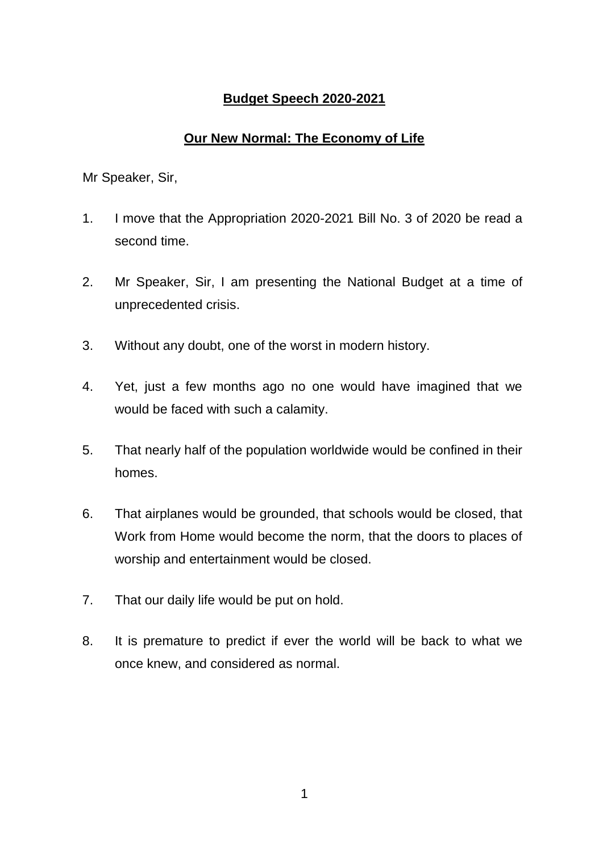# **Budget Speech 2020-2021**

# **Our New Normal: The Economy of Life**

- 1. I move that the Appropriation 2020-2021 Bill No. 3 of 2020 be read a second time.
- 2. Mr Speaker, Sir, I am presenting the National Budget at a time of unprecedented crisis.
- 3. Without any doubt, one of the worst in modern history.
- 4. Yet, just a few months ago no one would have imagined that we would be faced with such a calamity.
- 5. That nearly half of the population worldwide would be confined in their homes.
- 6. That airplanes would be grounded, that schools would be closed, that Work from Home would become the norm, that the doors to places of worship and entertainment would be closed.
- 7. That our daily life would be put on hold.
- 8. It is premature to predict if ever the world will be back to what we once knew, and considered as normal.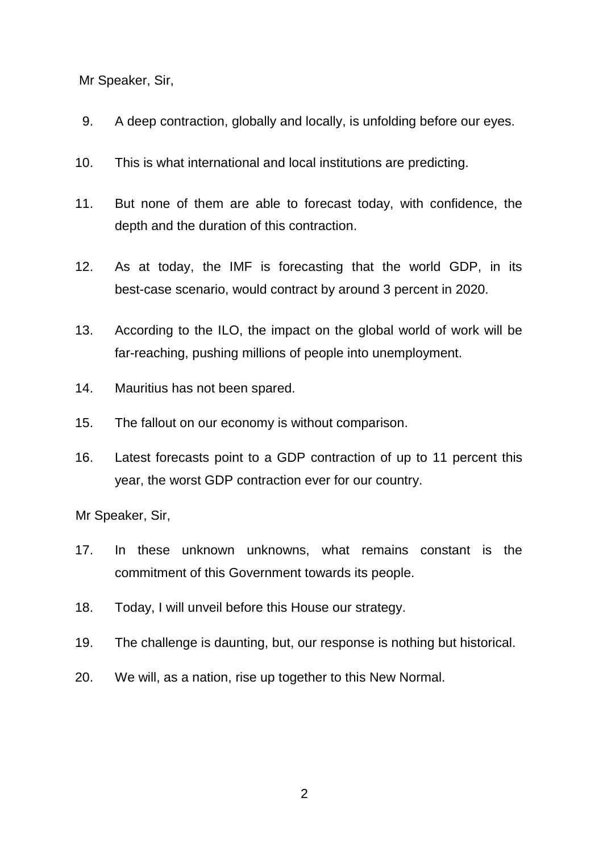- 9. A deep contraction, globally and locally, is unfolding before our eyes.
- 10. This is what international and local institutions are predicting.
- 11. But none of them are able to forecast today, with confidence, the depth and the duration of this contraction.
- 12. As at today, the IMF is forecasting that the world GDP, in its best-case scenario, would contract by around 3 percent in 2020.
- 13. According to the ILO, the impact on the global world of work will be far-reaching, pushing millions of people into unemployment.
- 14. Mauritius has not been spared.
- 15. The fallout on our economy is without comparison.
- 16. Latest forecasts point to a GDP contraction of up to 11 percent this year, the worst GDP contraction ever for our country.

- 17. In these unknown unknowns, what remains constant is the commitment of this Government towards its people.
- 18. Today, I will unveil before this House our strategy.
- 19. The challenge is daunting, but, our response is nothing but historical.
- 20. We will, as a nation, rise up together to this New Normal.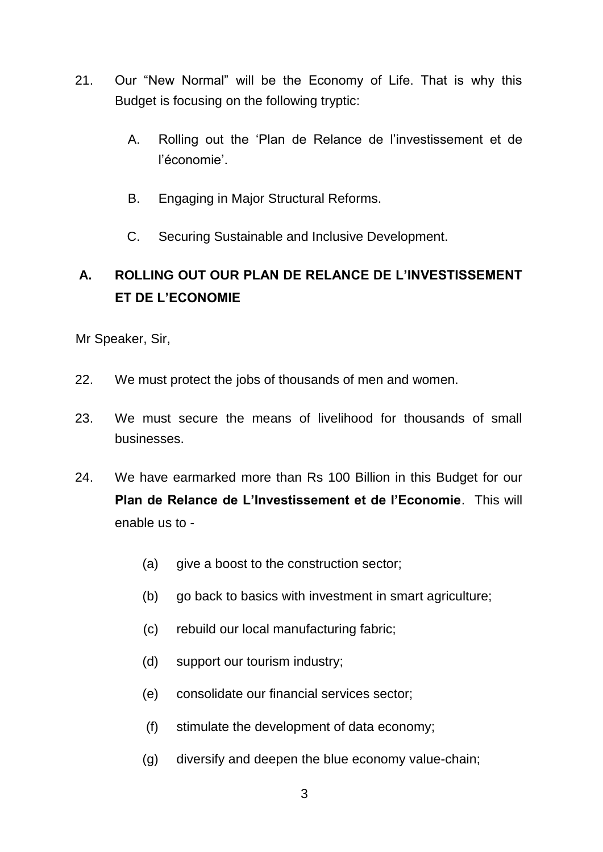- 21. Our "New Normal" will be the Economy of Life. That is why this Budget is focusing on the following tryptic:
	- A. Rolling out the 'Plan de Relance de l'investissement et de l'économie'.
	- B. Engaging in Major Structural Reforms.
	- C. Securing Sustainable and Inclusive Development.

# **A. ROLLING OUT OUR PLAN DE RELANCE DE L'INVESTISSEMENT ET DE L'ECONOMIE**

- 22. We must protect the jobs of thousands of men and women.
- 23. We must secure the means of livelihood for thousands of small businesses.
- 24. We have earmarked more than Rs 100 Billion in this Budget for our **Plan de Relance de L'Investissement et de l'Economie**. This will enable us to -
	- (a) give a boost to the construction sector;
	- (b) go back to basics with investment in smart agriculture;
	- (c) rebuild our local manufacturing fabric;
	- (d) support our tourism industry;
	- (e) consolidate our financial services sector;
	- (f) stimulate the development of data economy;
	- (g) diversify and deepen the blue economy value-chain;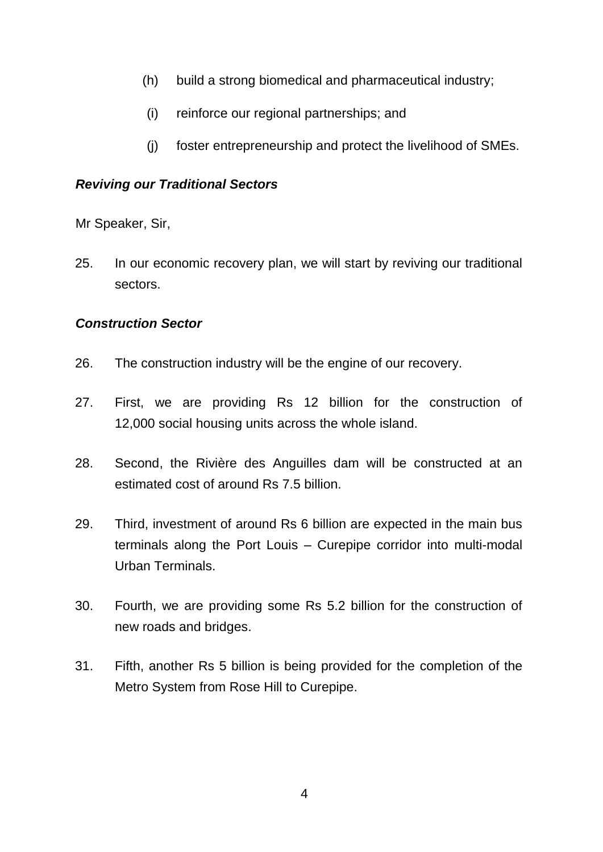- (h) build a strong biomedical and pharmaceutical industry;
- (i) reinforce our regional partnerships; and
- (j) foster entrepreneurship and protect the livelihood of SMEs.

### *Reviving our Traditional Sectors*

Mr Speaker, Sir,

25. In our economic recovery plan, we will start by reviving our traditional sectors.

# *Construction Sector*

- 26. The construction industry will be the engine of our recovery.
- 27. First, we are providing Rs 12 billion for the construction of 12,000 social housing units across the whole island.
- 28. Second, the Rivière des Anguilles dam will be constructed at an estimated cost of around Rs 7.5 billion.
- 29. Third, investment of around Rs 6 billion are expected in the main bus terminals along the Port Louis – Curepipe corridor into multi-modal Urban Terminals.
- 30. Fourth, we are providing some Rs 5.2 billion for the construction of new roads and bridges.
- 31. Fifth, another Rs 5 billion is being provided for the completion of the Metro System from Rose Hill to Curepipe.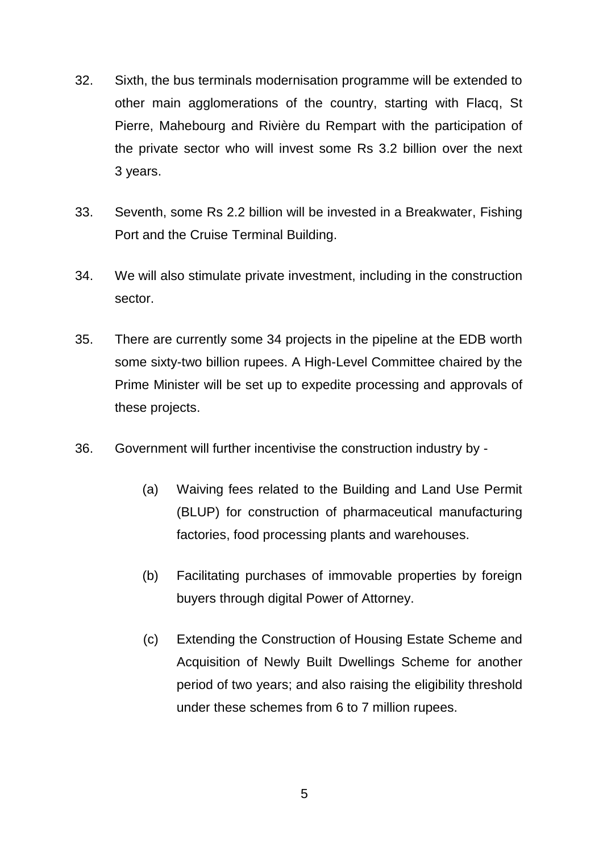- 32. Sixth, the bus terminals modernisation programme will be extended to other main agglomerations of the country, starting with Flacq, St Pierre, Mahebourg and Rivière du Rempart with the participation of the private sector who will invest some Rs 3.2 billion over the next 3 years.
- 33. Seventh, some Rs 2.2 billion will be invested in a Breakwater, Fishing Port and the Cruise Terminal Building.
- 34. We will also stimulate private investment, including in the construction sector.
- 35. There are currently some 34 projects in the pipeline at the EDB worth some sixty-two billion rupees. A High-Level Committee chaired by the Prime Minister will be set up to expedite processing and approvals of these projects.
- 36. Government will further incentivise the construction industry by
	- (a) Waiving fees related to the Building and Land Use Permit (BLUP) for construction of pharmaceutical manufacturing factories, food processing plants and warehouses.
	- (b) Facilitating purchases of immovable properties by foreign buyers through digital Power of Attorney.
	- (c) Extending the Construction of Housing Estate Scheme and Acquisition of Newly Built Dwellings Scheme for another period of two years; and also raising the eligibility threshold under these schemes from 6 to 7 million rupees.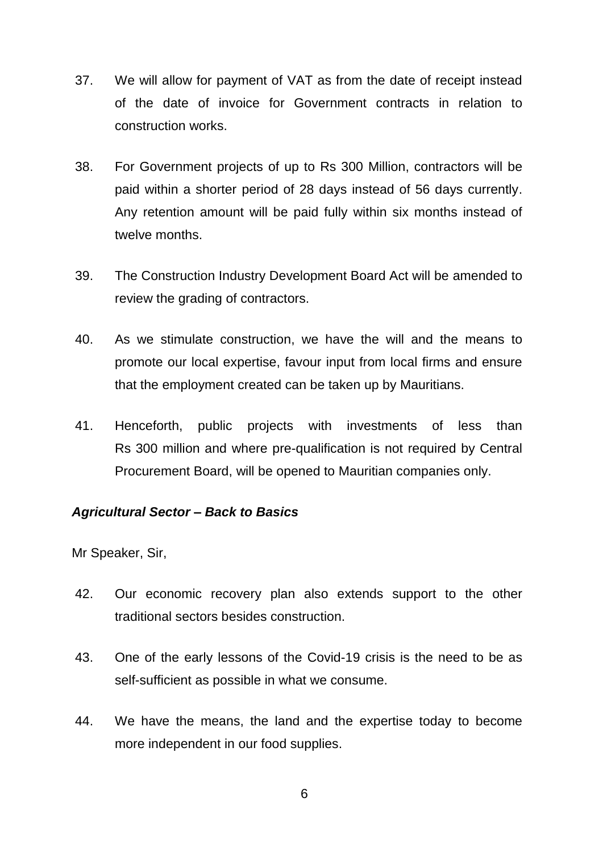- 37. We will allow for payment of VAT as from the date of receipt instead of the date of invoice for Government contracts in relation to construction works.
- 38. For Government projects of up to Rs 300 Million, contractors will be paid within a shorter period of 28 days instead of 56 days currently. Any retention amount will be paid fully within six months instead of twelve months.
- 39. The Construction Industry Development Board Act will be amended to review the grading of contractors.
- 40. As we stimulate construction, we have the will and the means to promote our local expertise, favour input from local firms and ensure that the employment created can be taken up by Mauritians.
- 41. Henceforth, public projects with investments of less than Rs 300 million and where pre-qualification is not required by Central Procurement Board, will be opened to Mauritian companies only.

#### *Agricultural Sector – Back to Basics*

- 42. Our economic recovery plan also extends support to the other traditional sectors besides construction.
- 43. One of the early lessons of the Covid-19 crisis is the need to be as self-sufficient as possible in what we consume.
- 44. We have the means, the land and the expertise today to become more independent in our food supplies.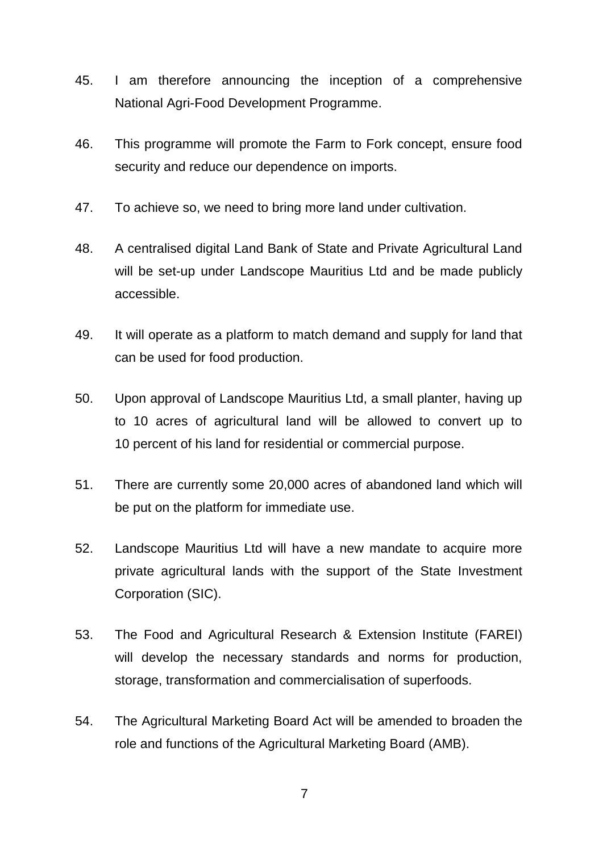- 45. I am therefore announcing the inception of a comprehensive National Agri-Food Development Programme.
- 46. This programme will promote the Farm to Fork concept, ensure food security and reduce our dependence on imports.
- 47. To achieve so, we need to bring more land under cultivation.
- 48. A centralised digital Land Bank of State and Private Agricultural Land will be set-up under Landscope Mauritius Ltd and be made publicly accessible.
- 49. It will operate as a platform to match demand and supply for land that can be used for food production.
- 50. Upon approval of Landscope Mauritius Ltd, a small planter, having up to 10 acres of agricultural land will be allowed to convert up to 10 percent of his land for residential or commercial purpose.
- 51. There are currently some 20,000 acres of abandoned land which will be put on the platform for immediate use.
- 52. Landscope Mauritius Ltd will have a new mandate to acquire more private agricultural lands with the support of the State Investment Corporation (SIC).
- 53. The Food and Agricultural Research & Extension Institute (FAREI) will develop the necessary standards and norms for production, storage, transformation and commercialisation of superfoods.
- 54. The Agricultural Marketing Board Act will be amended to broaden the role and functions of the Agricultural Marketing Board (AMB).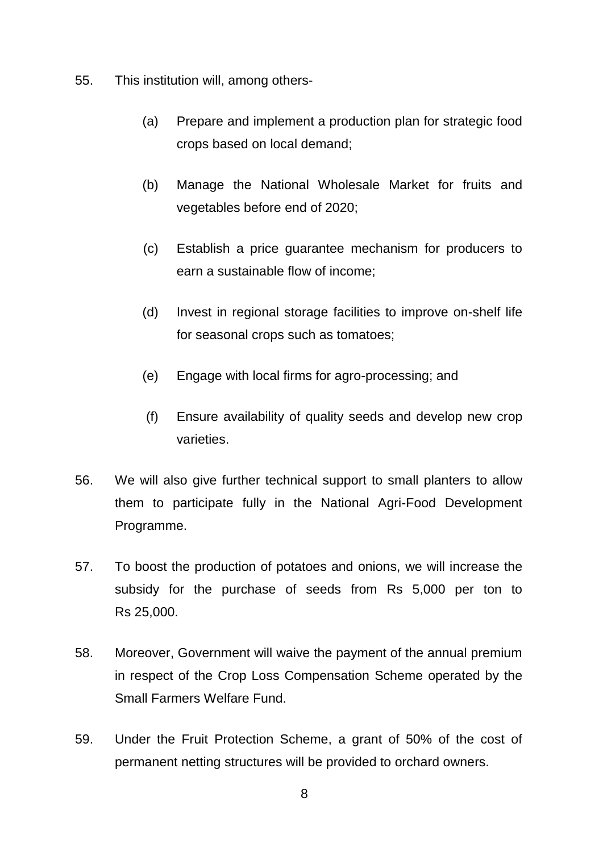- 55. This institution will, among others-
	- (a) Prepare and implement a production plan for strategic food crops based on local demand;
	- (b) Manage the National Wholesale Market for fruits and vegetables before end of 2020;
	- (c) Establish a price guarantee mechanism for producers to earn a sustainable flow of income;
	- (d) Invest in regional storage facilities to improve on-shelf life for seasonal crops such as tomatoes;
	- (e) Engage with local firms for agro-processing; and
	- (f) Ensure availability of quality seeds and develop new crop varieties.
- 56. We will also give further technical support to small planters to allow them to participate fully in the National Agri-Food Development Programme.
- 57. To boost the production of potatoes and onions, we will increase the subsidy for the purchase of seeds from Rs 5,000 per ton to Rs 25,000.
- 58. Moreover, Government will waive the payment of the annual premium in respect of the Crop Loss Compensation Scheme operated by the Small Farmers Welfare Fund.
- 59. Under the Fruit Protection Scheme, a grant of 50% of the cost of permanent netting structures will be provided to orchard owners.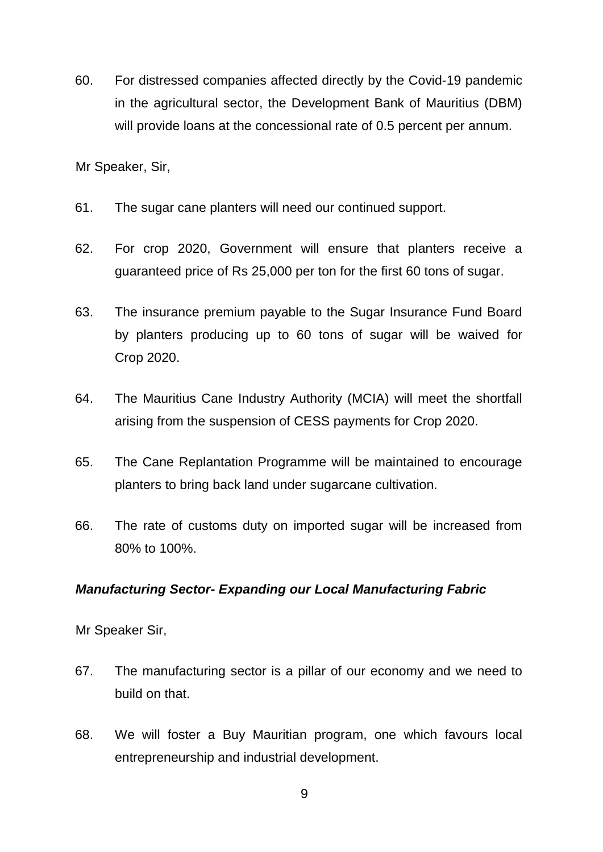60. For distressed companies affected directly by the Covid-19 pandemic in the agricultural sector, the Development Bank of Mauritius (DBM) will provide loans at the concessional rate of 0.5 percent per annum.

Mr Speaker, Sir,

- 61. The sugar cane planters will need our continued support.
- 62. For crop 2020, Government will ensure that planters receive a guaranteed price of Rs 25,000 per ton for the first 60 tons of sugar.
- 63. The insurance premium payable to the Sugar Insurance Fund Board by planters producing up to 60 tons of sugar will be waived for Crop 2020.
- 64. The Mauritius Cane Industry Authority (MCIA) will meet the shortfall arising from the suspension of CESS payments for Crop 2020.
- 65. The Cane Replantation Programme will be maintained to encourage planters to bring back land under sugarcane cultivation.
- 66. The rate of customs duty on imported sugar will be increased from 80% to 100%.

#### *Manufacturing Sector- Expanding our Local Manufacturing Fabric*

- 67. The manufacturing sector is a pillar of our economy and we need to build on that.
- 68. We will foster a Buy Mauritian program, one which favours local entrepreneurship and industrial development.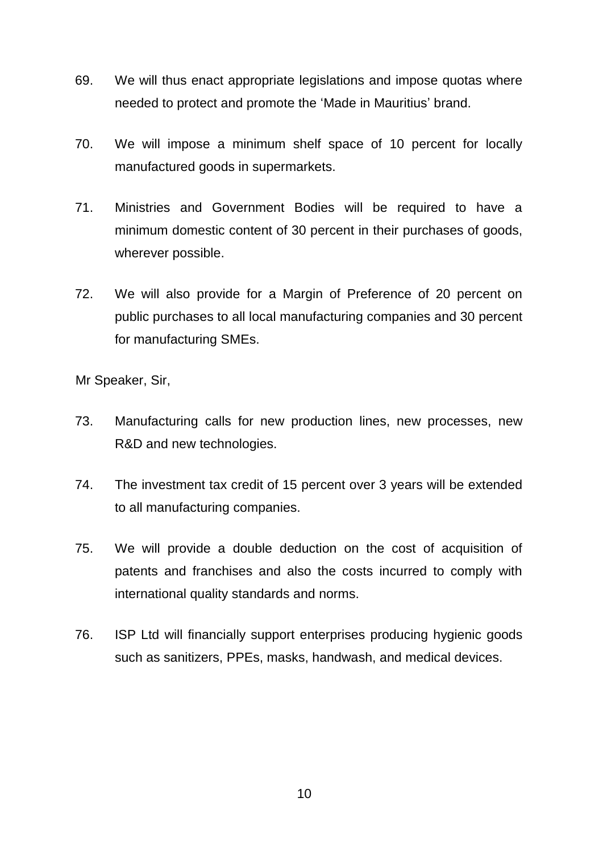- 69. We will thus enact appropriate legislations and impose quotas where needed to protect and promote the 'Made in Mauritius' brand.
- 70. We will impose a minimum shelf space of 10 percent for locally manufactured goods in supermarkets.
- 71. Ministries and Government Bodies will be required to have a minimum domestic content of 30 percent in their purchases of goods, wherever possible.
- 72. We will also provide for a Margin of Preference of 20 percent on public purchases to all local manufacturing companies and 30 percent for manufacturing SMEs.

- 73. Manufacturing calls for new production lines, new processes, new R&D and new technologies.
- 74. The investment tax credit of 15 percent over 3 years will be extended to all manufacturing companies.
- 75. We will provide a double deduction on the cost of acquisition of patents and franchises and also the costs incurred to comply with international quality standards and norms.
- 76. ISP Ltd will financially support enterprises producing hygienic goods such as sanitizers, PPEs, masks, handwash, and medical devices.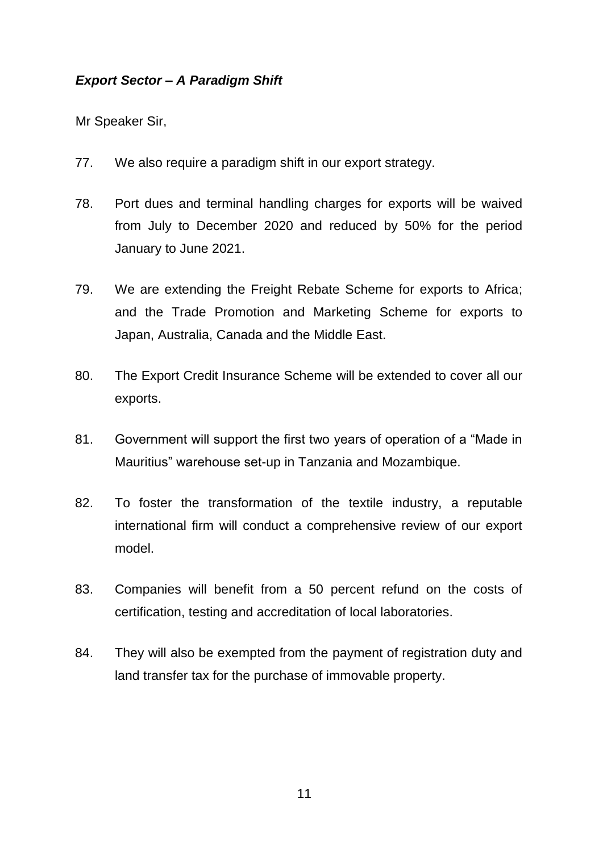# *Export Sector – A Paradigm Shift*

- 77. We also require a paradigm shift in our export strategy.
- 78. Port dues and terminal handling charges for exports will be waived from July to December 2020 and reduced by 50% for the period January to June 2021.
- 79. We are extending the Freight Rebate Scheme for exports to Africa; and the Trade Promotion and Marketing Scheme for exports to Japan, Australia, Canada and the Middle East.
- 80. The Export Credit Insurance Scheme will be extended to cover all our exports.
- 81. Government will support the first two years of operation of a "Made in Mauritius" warehouse set-up in Tanzania and Mozambique.
- 82. To foster the transformation of the textile industry, a reputable international firm will conduct a comprehensive review of our export model.
- 83. Companies will benefit from a 50 percent refund on the costs of certification, testing and accreditation of local laboratories.
- 84. They will also be exempted from the payment of registration duty and land transfer tax for the purchase of immovable property.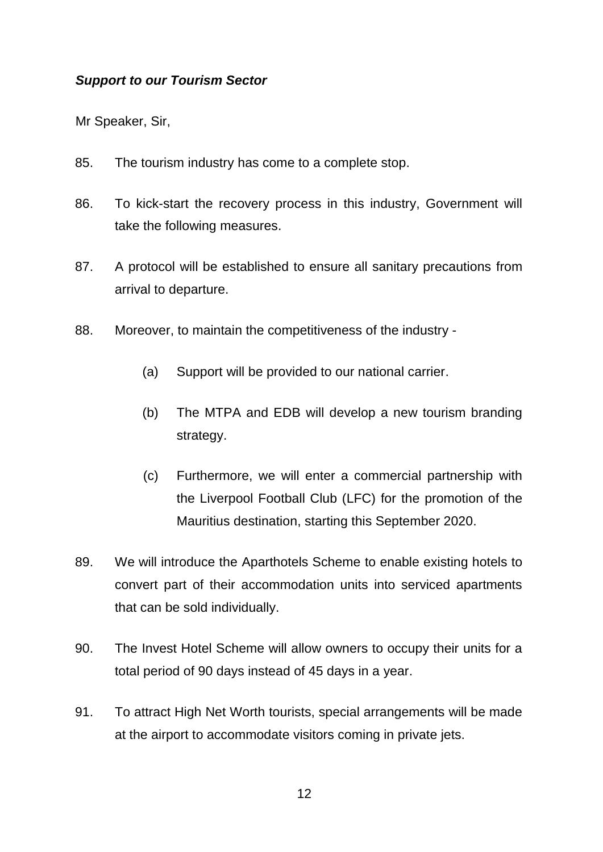### *Support to our Tourism Sector*

- 85. The tourism industry has come to a complete stop.
- 86. To kick-start the recovery process in this industry, Government will take the following measures.
- 87. A protocol will be established to ensure all sanitary precautions from arrival to departure.
- 88. Moreover, to maintain the competitiveness of the industry
	- (a) Support will be provided to our national carrier.
	- (b) The MTPA and EDB will develop a new tourism branding strategy.
	- (c) Furthermore, we will enter a commercial partnership with the Liverpool Football Club (LFC) for the promotion of the Mauritius destination, starting this September 2020.
- 89. We will introduce the Aparthotels Scheme to enable existing hotels to convert part of their accommodation units into serviced apartments that can be sold individually.
- 90. The Invest Hotel Scheme will allow owners to occupy their units for a total period of 90 days instead of 45 days in a year.
- 91. To attract High Net Worth tourists, special arrangements will be made at the airport to accommodate visitors coming in private jets.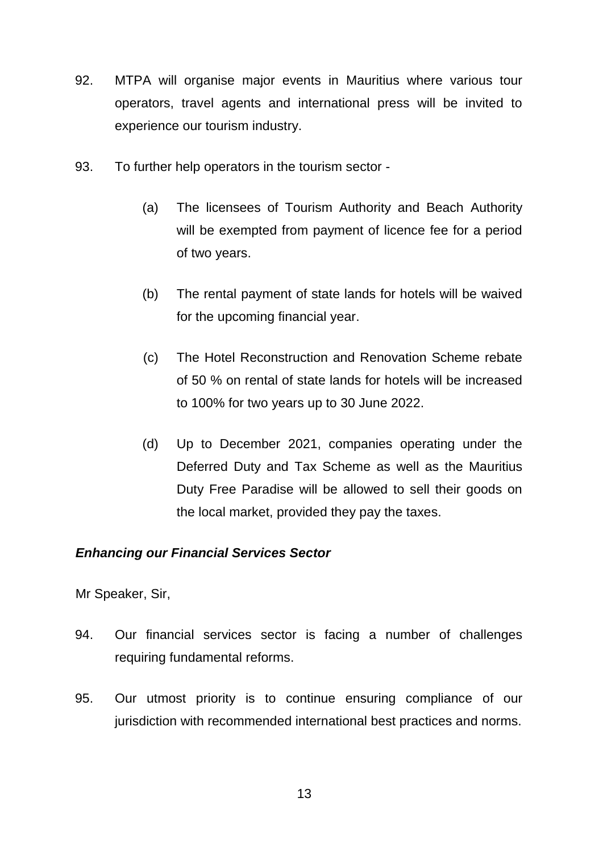- 92. MTPA will organise major events in Mauritius where various tour operators, travel agents and international press will be invited to experience our tourism industry.
- 93. To further help operators in the tourism sector
	- (a) The licensees of Tourism Authority and Beach Authority will be exempted from payment of licence fee for a period of two years.
	- (b) The rental payment of state lands for hotels will be waived for the upcoming financial year.
	- (c) The Hotel Reconstruction and Renovation Scheme rebate of 50 % on rental of state lands for hotels will be increased to 100% for two years up to 30 June 2022.
	- (d) Up to December 2021, companies operating under the Deferred Duty and Tax Scheme as well as the Mauritius Duty Free Paradise will be allowed to sell their goods on the local market, provided they pay the taxes.

# *Enhancing our Financial Services Sector*

- 94. Our financial services sector is facing a number of challenges requiring fundamental reforms.
- 95. Our utmost priority is to continue ensuring compliance of our jurisdiction with recommended international best practices and norms.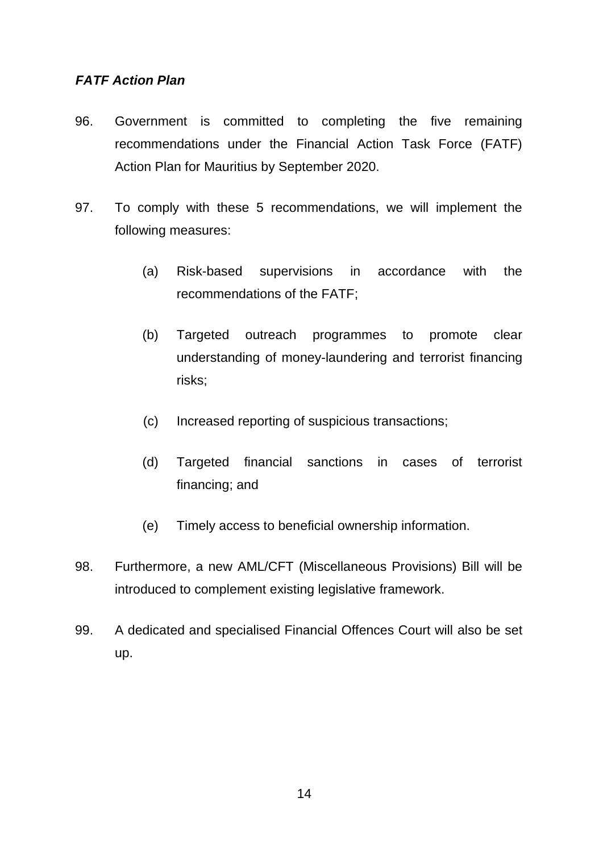### *FATF Action Plan*

- 96. Government is committed to completing the five remaining recommendations under the Financial Action Task Force (FATF) Action Plan for Mauritius by September 2020.
- 97. To comply with these 5 recommendations, we will implement the following measures:
	- (a) Risk-based supervisions in accordance with the recommendations of the FATF;
	- (b) Targeted outreach programmes to promote clear understanding of money-laundering and terrorist financing risks;
	- (c) Increased reporting of suspicious transactions;
	- (d) Targeted financial sanctions in cases of terrorist financing; and
	- (e) Timely access to beneficial ownership information.
- 98. Furthermore, a new AML/CFT (Miscellaneous Provisions) Bill will be introduced to complement existing legislative framework.
- 99. A dedicated and specialised Financial Offences Court will also be set up.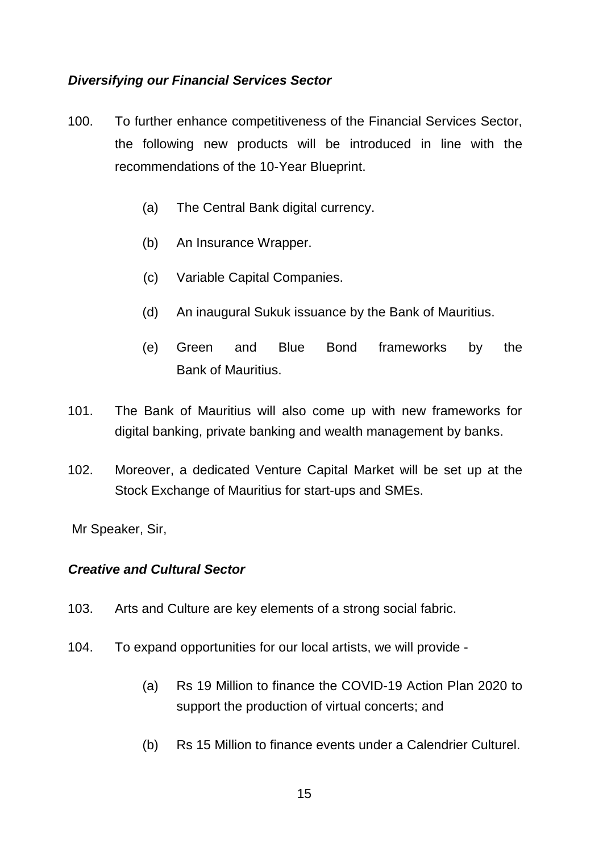# *Diversifying our Financial Services Sector*

- 100. To further enhance competitiveness of the Financial Services Sector, the following new products will be introduced in line with the recommendations of the 10-Year Blueprint.
	- (a) The Central Bank digital currency.
	- (b) An Insurance Wrapper.
	- (c) Variable Capital Companies.
	- (d) An inaugural Sukuk issuance by the Bank of Mauritius.
	- (e) Green and Blue Bond frameworks by the Bank of Mauritius.
- 101. The Bank of Mauritius will also come up with new frameworks for digital banking, private banking and wealth management by banks.
- 102. Moreover, a dedicated Venture Capital Market will be set up at the Stock Exchange of Mauritius for start-ups and SMEs.

Mr Speaker, Sir,

#### *Creative and Cultural Sector*

- 103. Arts and Culture are key elements of a strong social fabric.
- 104. To expand opportunities for our local artists, we will provide
	- (a) Rs 19 Million to finance the COVID-19 Action Plan 2020 to support the production of virtual concerts; and
	- (b) Rs 15 Million to finance events under a Calendrier Culturel.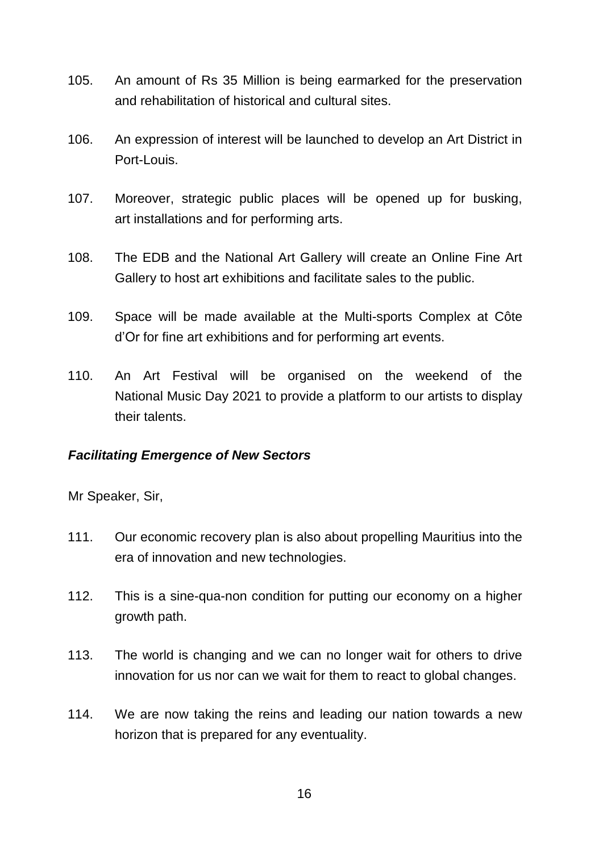- 105. An amount of Rs 35 Million is being earmarked for the preservation and rehabilitation of historical and cultural sites.
- 106. An expression of interest will be launched to develop an Art District in Port-Louis.
- 107. Moreover, strategic public places will be opened up for busking, art installations and for performing arts.
- 108. The EDB and the National Art Gallery will create an Online Fine Art Gallery to host art exhibitions and facilitate sales to the public.
- 109. Space will be made available at the Multi-sports Complex at Côte d'Or for fine art exhibitions and for performing art events.
- 110. An Art Festival will be organised on the weekend of the National Music Day 2021 to provide a platform to our artists to display their talents.

#### *Facilitating Emergence of New Sectors*

- 111. Our economic recovery plan is also about propelling Mauritius into the era of innovation and new technologies.
- 112. This is a sine-qua-non condition for putting our economy on a higher growth path.
- 113. The world is changing and we can no longer wait for others to drive innovation for us nor can we wait for them to react to global changes.
- 114. We are now taking the reins and leading our nation towards a new horizon that is prepared for any eventuality.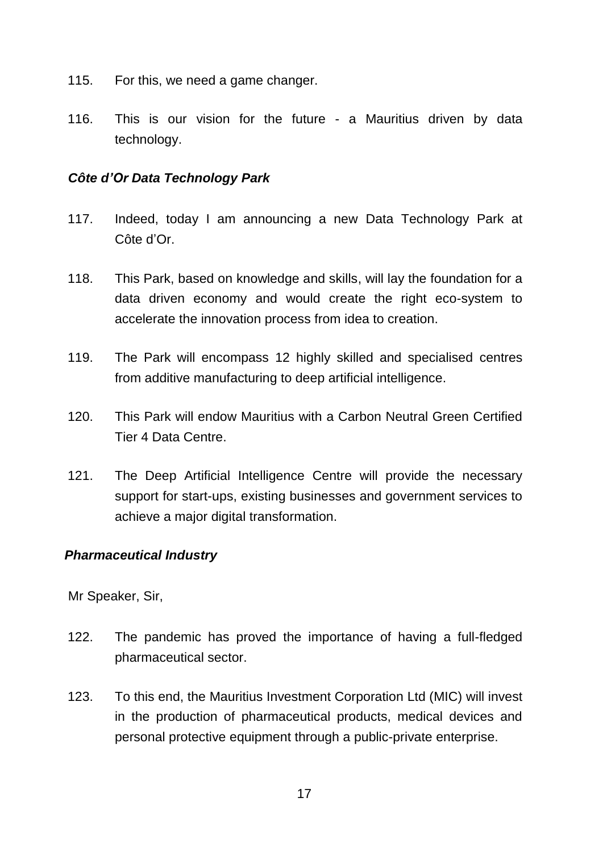- 115. For this, we need a game changer.
- 116. This is our vision for the future a Mauritius driven by data technology.

# *Côte d'Or Data Technology Park*

- 117. Indeed, today I am announcing a new Data Technology Park at Côte d'Or.
- 118. This Park, based on knowledge and skills, will lay the foundation for a data driven economy and would create the right eco-system to accelerate the innovation process from idea to creation.
- 119. The Park will encompass 12 highly skilled and specialised centres from additive manufacturing to deep artificial intelligence.
- 120. This Park will endow Mauritius with a Carbon Neutral Green Certified Tier 4 Data Centre.
- 121. The Deep Artificial Intelligence Centre will provide the necessary support for start-ups, existing businesses and government services to achieve a major digital transformation.

# *Pharmaceutical Industry*

- 122. The pandemic has proved the importance of having a full-fledged pharmaceutical sector.
- 123. To this end, the Mauritius Investment Corporation Ltd (MIC) will invest in the production of pharmaceutical products, medical devices and personal protective equipment through a public-private enterprise.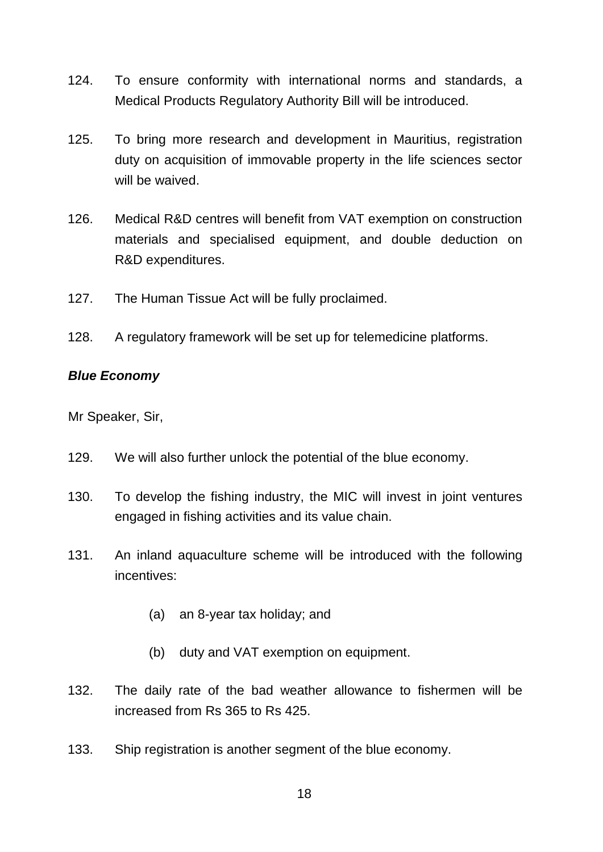- 124. To ensure conformity with international norms and standards, a Medical Products Regulatory Authority Bill will be introduced.
- 125. To bring more research and development in Mauritius, registration duty on acquisition of immovable property in the life sciences sector will be waived.
- 126. Medical R&D centres will benefit from VAT exemption on construction materials and specialised equipment, and double deduction on R&D expenditures.
- 127. The Human Tissue Act will be fully proclaimed.
- 128. A regulatory framework will be set up for telemedicine platforms.

### *Blue Economy*

- 129. We will also further unlock the potential of the blue economy.
- 130. To develop the fishing industry, the MIC will invest in joint ventures engaged in fishing activities and its value chain.
- 131. An inland aquaculture scheme will be introduced with the following incentives:
	- (a) an 8-year tax holiday; and
	- (b) duty and VAT exemption on equipment.
- 132. The daily rate of the bad weather allowance to fishermen will be increased from Rs 365 to Rs 425.
- 133. Ship registration is another segment of the blue economy.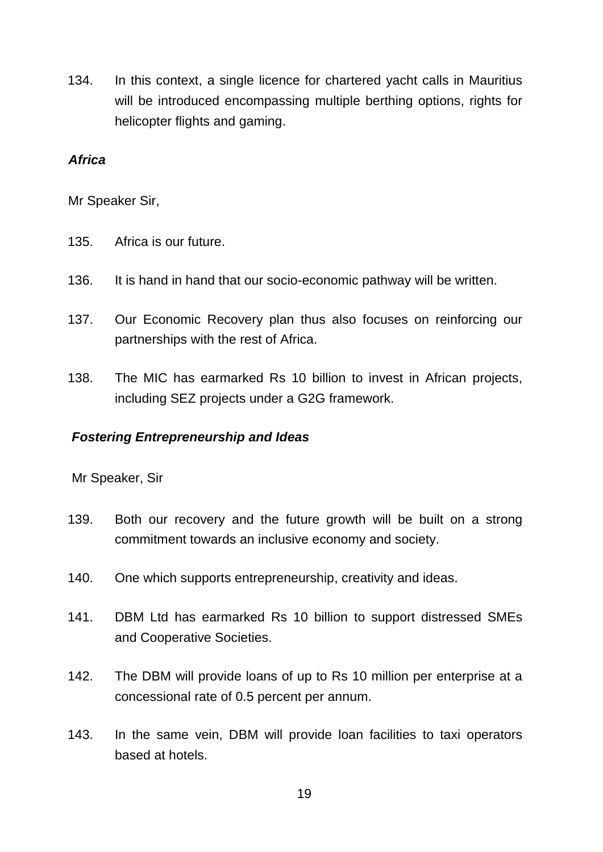134. In this context, a single licence for chartered yacht calls in Mauritius will be introduced encompassing multiple berthing options, rights for helicopter flights and gaming.

### *Africa*

Mr Speaker Sir,

- 135. Africa is our future.
- 136. It is hand in hand that our socio-economic pathway will be written.
- 137. Our Economic Recovery plan thus also focuses on reinforcing our partnerships with the rest of Africa.
- 138. The MIC has earmarked Rs 10 billion to invest in African projects, including SEZ projects under a G2G framework.

# *Fostering Entrepreneurship and Ideas*

- 139. Both our recovery and the future growth will be built on a strong commitment towards an inclusive economy and society.
- 140. One which supports entrepreneurship, creativity and ideas.
- 141. DBM Ltd has earmarked Rs 10 billion to support distressed SMEs and Cooperative Societies.
- 142. The DBM will provide loans of up to Rs 10 million per enterprise at a concessional rate of 0.5 percent per annum.
- 143. In the same vein, DBM will provide loan facilities to taxi operators based at hotels.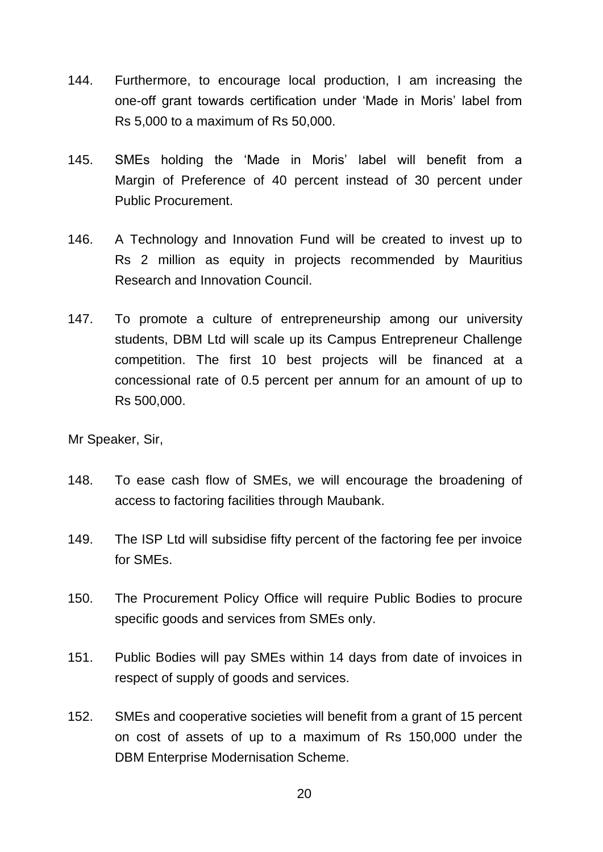- 144. Furthermore, to encourage local production, I am increasing the one-off grant towards certification under 'Made in Moris' label from Rs 5,000 to a maximum of Rs 50,000.
- 145. SMEs holding the 'Made in Moris' label will benefit from a Margin of Preference of 40 percent instead of 30 percent under Public Procurement.
- 146. A Technology and Innovation Fund will be created to invest up to Rs 2 million as equity in projects recommended by Mauritius Research and Innovation Council.
- 147. To promote a culture of entrepreneurship among our university students, DBM Ltd will scale up its Campus Entrepreneur Challenge competition. The first 10 best projects will be financed at a concessional rate of 0.5 percent per annum for an amount of up to Rs 500,000.

- 148. To ease cash flow of SMEs, we will encourage the broadening of access to factoring facilities through Maubank.
- 149. The ISP Ltd will subsidise fifty percent of the factoring fee per invoice for SMEs.
- 150. The Procurement Policy Office will require Public Bodies to procure specific goods and services from SMEs only.
- 151. Public Bodies will pay SMEs within 14 days from date of invoices in respect of supply of goods and services.
- 152. SMEs and cooperative societies will benefit from a grant of 15 percent on cost of assets of up to a maximum of Rs 150,000 under the DBM Enterprise Modernisation Scheme.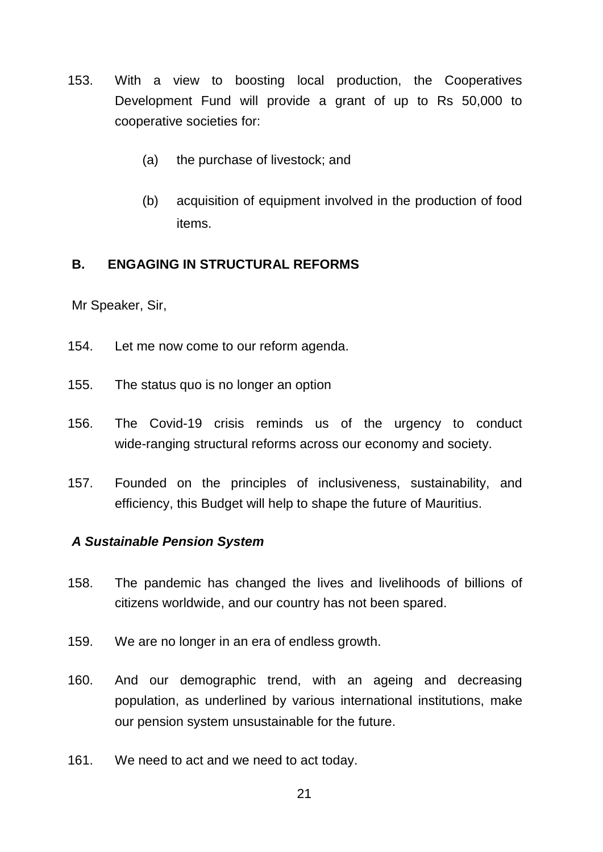- 153. With a view to boosting local production, the Cooperatives Development Fund will provide a grant of up to Rs 50,000 to cooperative societies for:
	- (a) the purchase of livestock; and
	- (b) acquisition of equipment involved in the production of food items.

# **B. ENGAGING IN STRUCTURAL REFORMS**

Mr Speaker, Sir,

- 154. Let me now come to our reform agenda.
- 155. The status quo is no longer an option
- 156. The Covid-19 crisis reminds us of the urgency to conduct wide-ranging structural reforms across our economy and society.
- 157. Founded on the principles of inclusiveness, sustainability, and efficiency, this Budget will help to shape the future of Mauritius.

#### *A Sustainable Pension System*

- 158. The pandemic has changed the lives and livelihoods of billions of citizens worldwide, and our country has not been spared.
- 159. We are no longer in an era of endless growth.
- 160. And our demographic trend, with an ageing and decreasing population, as underlined by various international institutions, make our pension system unsustainable for the future.
- 161. We need to act and we need to act today.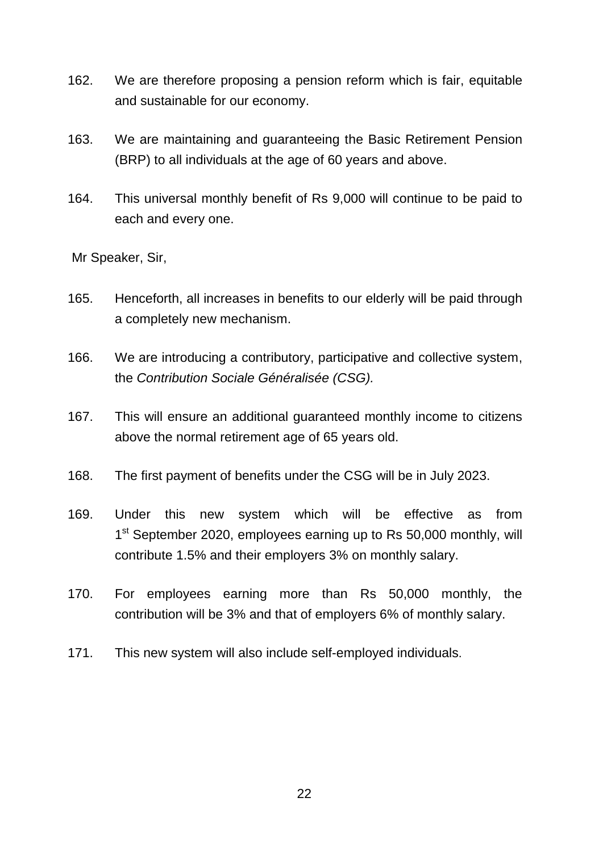- 162. We are therefore proposing a pension reform which is fair, equitable and sustainable for our economy.
- 163. We are maintaining and guaranteeing the Basic Retirement Pension (BRP) to all individuals at the age of 60 years and above.
- 164. This universal monthly benefit of Rs 9,000 will continue to be paid to each and every one.

- 165. Henceforth, all increases in benefits to our elderly will be paid through a completely new mechanism.
- 166. We are introducing a contributory, participative and collective system, the *Contribution Sociale Généralisée (CSG).*
- 167. This will ensure an additional guaranteed monthly income to citizens above the normal retirement age of 65 years old.
- 168. The first payment of benefits under the CSG will be in July 2023.
- 169. Under this new system which will be effective as from 1<sup>st</sup> September 2020, employees earning up to Rs 50,000 monthly, will contribute 1.5% and their employers 3% on monthly salary.
- 170. For employees earning more than Rs 50,000 monthly, the contribution will be 3% and that of employers 6% of monthly salary.
- 171. This new system will also include self-employed individuals.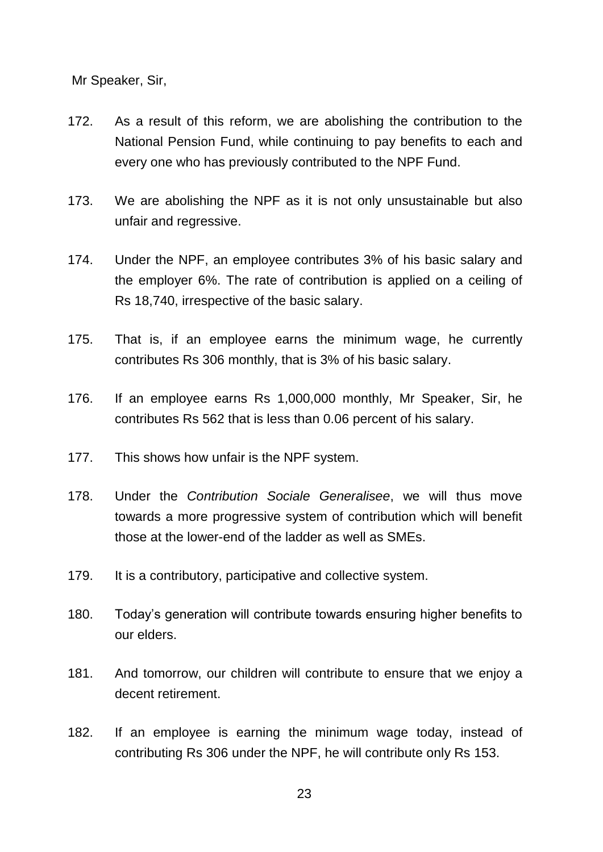- 172. As a result of this reform, we are abolishing the contribution to the National Pension Fund, while continuing to pay benefits to each and every one who has previously contributed to the NPF Fund.
- 173. We are abolishing the NPF as it is not only unsustainable but also unfair and regressive.
- 174. Under the NPF, an employee contributes 3% of his basic salary and the employer 6%. The rate of contribution is applied on a ceiling of Rs 18,740, irrespective of the basic salary.
- 175. That is, if an employee earns the minimum wage, he currently contributes Rs 306 monthly, that is 3% of his basic salary.
- 176. If an employee earns Rs 1,000,000 monthly, Mr Speaker, Sir, he contributes Rs 562 that is less than 0.06 percent of his salary.
- 177. This shows how unfair is the NPF system.
- 178. Under the *Contribution Sociale Generalisee*, we will thus move towards a more progressive system of contribution which will benefit those at the lower-end of the ladder as well as SMEs.
- 179. It is a contributory, participative and collective system.
- 180. Today's generation will contribute towards ensuring higher benefits to our elders.
- 181. And tomorrow, our children will contribute to ensure that we enjoy a decent retirement.
- 182. If an employee is earning the minimum wage today, instead of contributing Rs 306 under the NPF, he will contribute only Rs 153.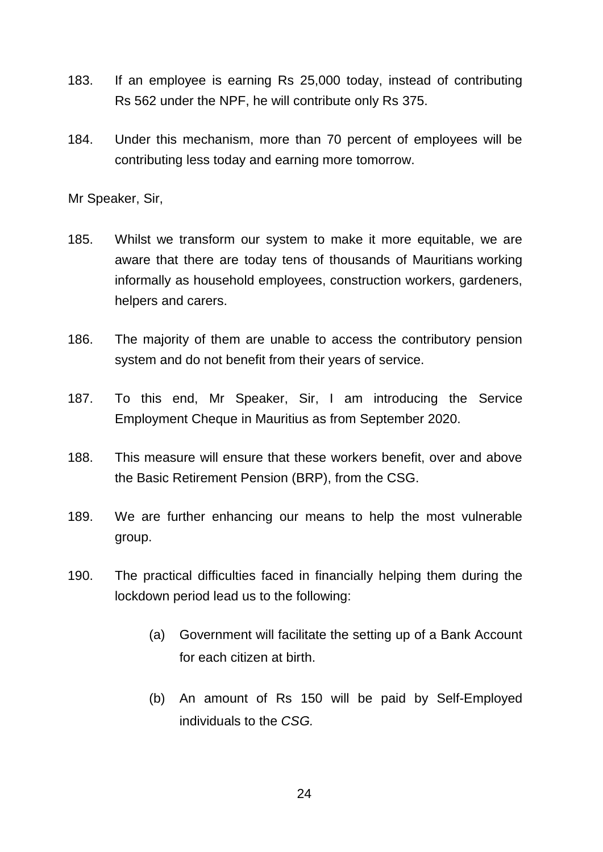- 183. If an employee is earning Rs 25,000 today, instead of contributing Rs 562 under the NPF, he will contribute only Rs 375.
- 184. Under this mechanism, more than 70 percent of employees will be contributing less today and earning more tomorrow.

- 185. Whilst we transform our system to make it more equitable, we are aware that there are today tens of thousands of Mauritians working informally as household employees, construction workers, gardeners, helpers and carers.
- 186. The majority of them are unable to access the contributory pension system and do not benefit from their years of service.
- 187. To this end, Mr Speaker, Sir, I am introducing the Service Employment Cheque in Mauritius as from September 2020.
- 188. This measure will ensure that these workers benefit, over and above the Basic Retirement Pension (BRP), from the CSG.
- 189. We are further enhancing our means to help the most vulnerable group.
- 190. The practical difficulties faced in financially helping them during the lockdown period lead us to the following:
	- (a) Government will facilitate the setting up of a Bank Account for each citizen at birth.
	- (b) An amount of Rs 150 will be paid by Self-Employed individuals to the *CSG.*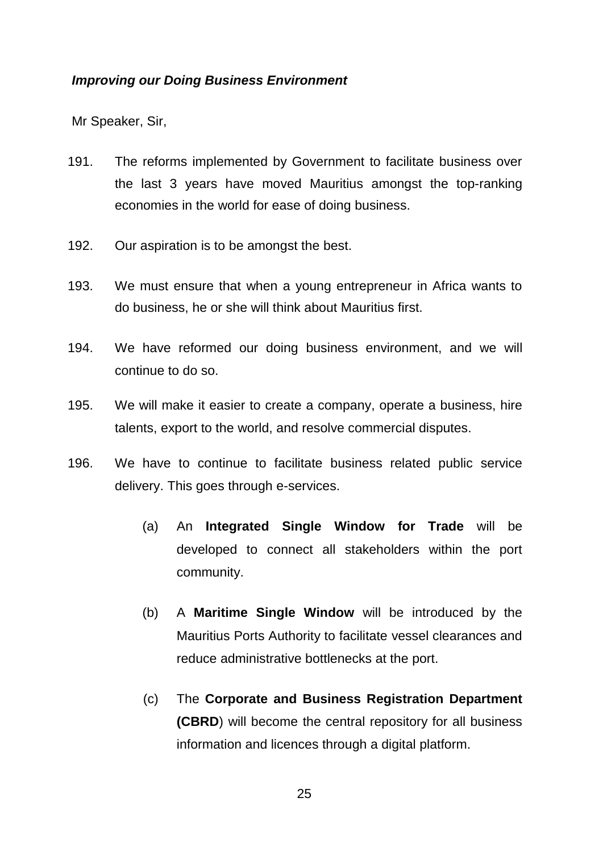### *Improving our Doing Business Environment*

- 191. The reforms implemented by Government to facilitate business over the last 3 years have moved Mauritius amongst the top-ranking economies in the world for ease of doing business.
- 192. Our aspiration is to be amongst the best.
- 193. We must ensure that when a young entrepreneur in Africa wants to do business, he or she will think about Mauritius first.
- 194. We have reformed our doing business environment, and we will continue to do so.
- 195. We will make it easier to create a company, operate a business, hire talents, export to the world, and resolve commercial disputes.
- 196. We have to continue to facilitate business related public service delivery. This goes through e-services.
	- (a) An **Integrated Single Window for Trade** will be developed to connect all stakeholders within the port community.
	- (b) A **Maritime Single Window** will be introduced by the Mauritius Ports Authority to facilitate vessel clearances and reduce administrative bottlenecks at the port.
	- (c) The **Corporate and Business Registration Department (CBRD**) will become the central repository for all business information and licences through a digital platform.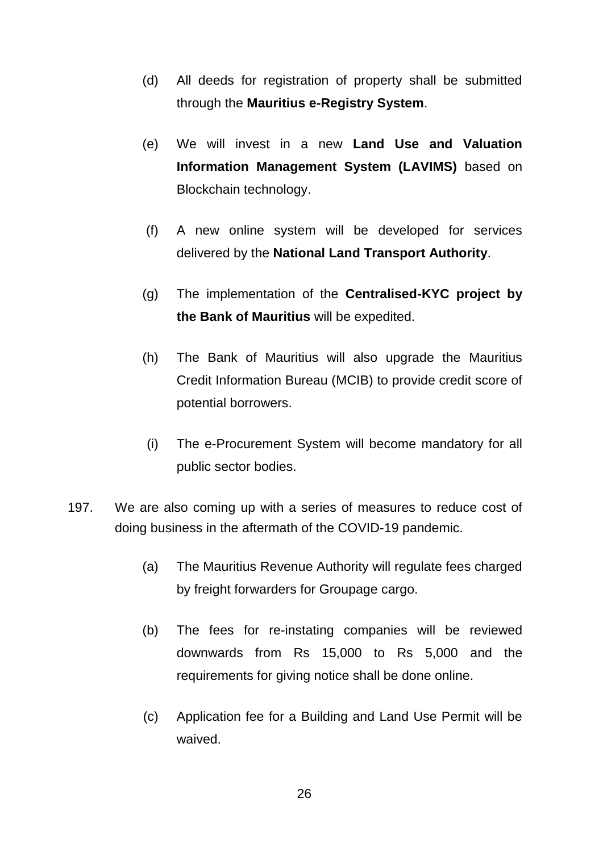- (d) All deeds for registration of property shall be submitted through the **Mauritius e-Registry System**.
- (e) We will invest in a new **Land Use and Valuation Information Management System (LAVIMS)** based on Blockchain technology.
- (f) A new online system will be developed for services delivered by the **National Land Transport Authority**.
- (g) The implementation of the **Centralised-KYC project by the Bank of Mauritius** will be expedited.
- (h) The Bank of Mauritius will also upgrade the Mauritius Credit Information Bureau (MCIB) to provide credit score of potential borrowers.
- (i) The e-Procurement System will become mandatory for all public sector bodies.
- 197. We are also coming up with a series of measures to reduce cost of doing business in the aftermath of the COVID-19 pandemic.
	- (a) The Mauritius Revenue Authority will regulate fees charged by freight forwarders for Groupage cargo.
	- (b) The fees for re-instating companies will be reviewed downwards from Rs 15,000 to Rs 5,000 and the requirements for giving notice shall be done online.
	- (c) Application fee for a Building and Land Use Permit will be waived.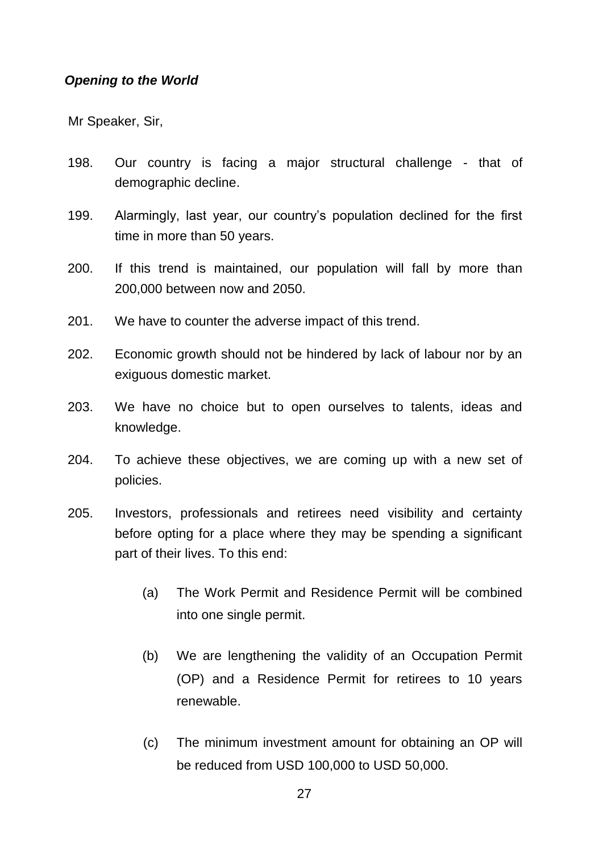### *Opening to the World*

- 198. Our country is facing a major structural challenge that of demographic decline.
- 199. Alarmingly, last year, our country's population declined for the first time in more than 50 years.
- 200. If this trend is maintained, our population will fall by more than 200,000 between now and 2050.
- 201. We have to counter the adverse impact of this trend.
- 202. Economic growth should not be hindered by lack of labour nor by an exiguous domestic market.
- 203. We have no choice but to open ourselves to talents, ideas and knowledge.
- 204. To achieve these objectives, we are coming up with a new set of policies.
- 205. Investors, professionals and retirees need visibility and certainty before opting for a place where they may be spending a significant part of their lives. To this end:
	- (a) The Work Permit and Residence Permit will be combined into one single permit.
	- (b) We are lengthening the validity of an Occupation Permit (OP) and a Residence Permit for retirees to 10 years renewable.
	- (c) The minimum investment amount for obtaining an OP will be reduced from USD 100,000 to USD 50,000.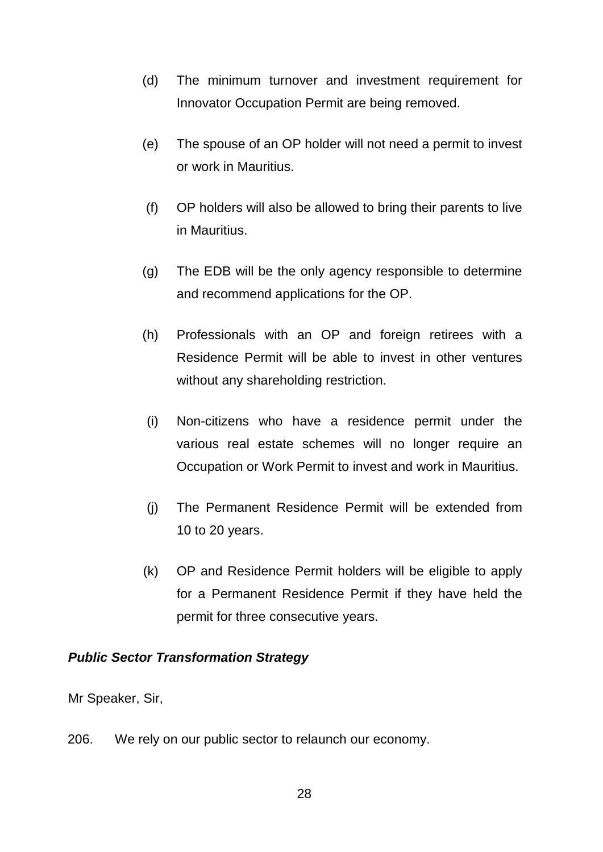- (d) The minimum turnover and investment requirement for Innovator Occupation Permit are being removed.
- (e) The spouse of an OP holder will not need a permit to invest or work in Mauritius.
- (f) OP holders will also be allowed to bring their parents to live in Mauritius.
- (g) The EDB will be the only agency responsible to determine and recommend applications for the OP.
- (h) Professionals with an OP and foreign retirees with a Residence Permit will be able to invest in other ventures without any shareholding restriction.
- (i) Non-citizens who have a residence permit under the various real estate schemes will no longer require an Occupation or Work Permit to invest and work in Mauritius.
- (j) The Permanent Residence Permit will be extended from 10 to 20 years.
- (k) OP and Residence Permit holders will be eligible to apply for a Permanent Residence Permit if they have held the permit for three consecutive years.

# *Public Sector Transformation Strategy*

Mr Speaker, Sir,

206. We rely on our public sector to relaunch our economy.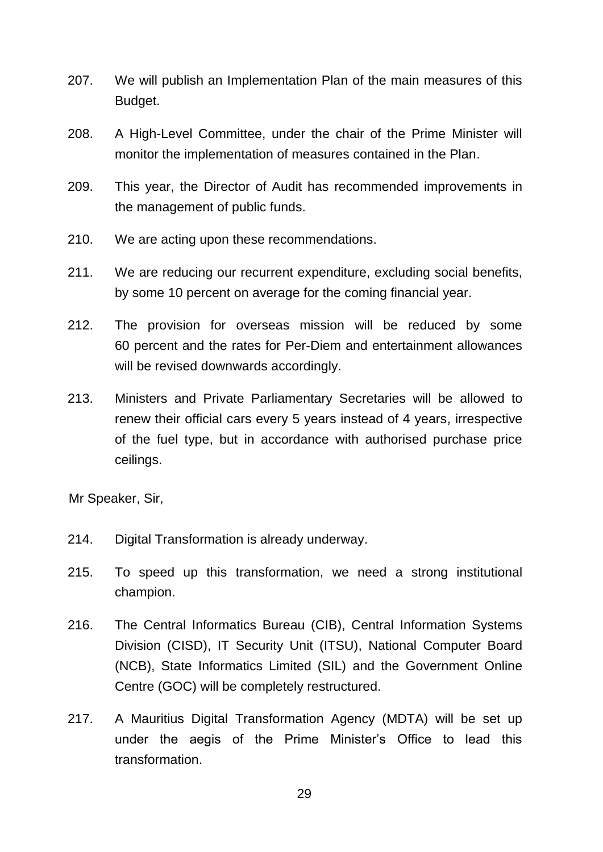- 207. We will publish an Implementation Plan of the main measures of this Budget.
- 208. A High-Level Committee, under the chair of the Prime Minister will monitor the implementation of measures contained in the Plan.
- 209. This year, the Director of Audit has recommended improvements in the management of public funds.
- 210. We are acting upon these recommendations.
- 211. We are reducing our recurrent expenditure, excluding social benefits, by some 10 percent on average for the coming financial year.
- 212. The provision for overseas mission will be reduced by some 60 percent and the rates for Per-Diem and entertainment allowances will be revised downwards accordingly.
- 213. Ministers and Private Parliamentary Secretaries will be allowed to renew their official cars every 5 years instead of 4 years, irrespective of the fuel type, but in accordance with authorised purchase price ceilings.

- 214. Digital Transformation is already underway.
- 215. To speed up this transformation, we need a strong institutional champion.
- 216. The Central Informatics Bureau (CIB), Central Information Systems Division (CISD), IT Security Unit (ITSU), National Computer Board (NCB), State Informatics Limited (SIL) and the Government Online Centre (GOC) will be completely restructured.
- 217. A Mauritius Digital Transformation Agency (MDTA) will be set up under the aegis of the Prime Minister's Office to lead this transformation.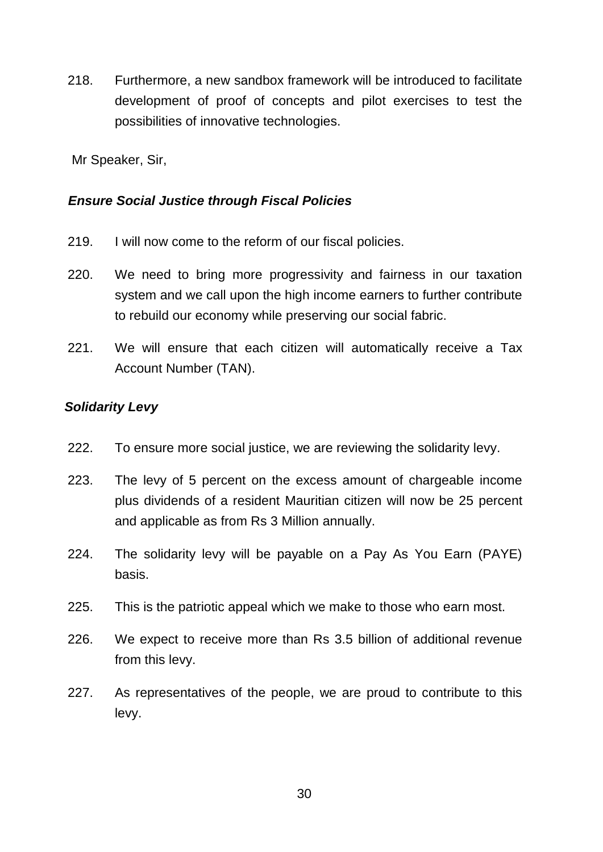218. Furthermore, a new sandbox framework will be introduced to facilitate development of proof of concepts and pilot exercises to test the possibilities of innovative technologies.

Mr Speaker, Sir,

### *Ensure Social Justice through Fiscal Policies*

- 219. I will now come to the reform of our fiscal policies.
- 220. We need to bring more progressivity and fairness in our taxation system and we call upon the high income earners to further contribute to rebuild our economy while preserving our social fabric.
- 221. We will ensure that each citizen will automatically receive a Tax Account Number (TAN).

### *Solidarity Levy*

- 222. To ensure more social justice, we are reviewing the solidarity levy.
- 223. The levy of 5 percent on the excess amount of chargeable income plus dividends of a resident Mauritian citizen will now be 25 percent and applicable as from Rs 3 Million annually.
- 224. The solidarity levy will be payable on a Pay As You Earn (PAYE) basis.
- 225. This is the patriotic appeal which we make to those who earn most.
- 226. We expect to receive more than Rs 3.5 billion of additional revenue from this levy.
- 227. As representatives of the people, we are proud to contribute to this levy.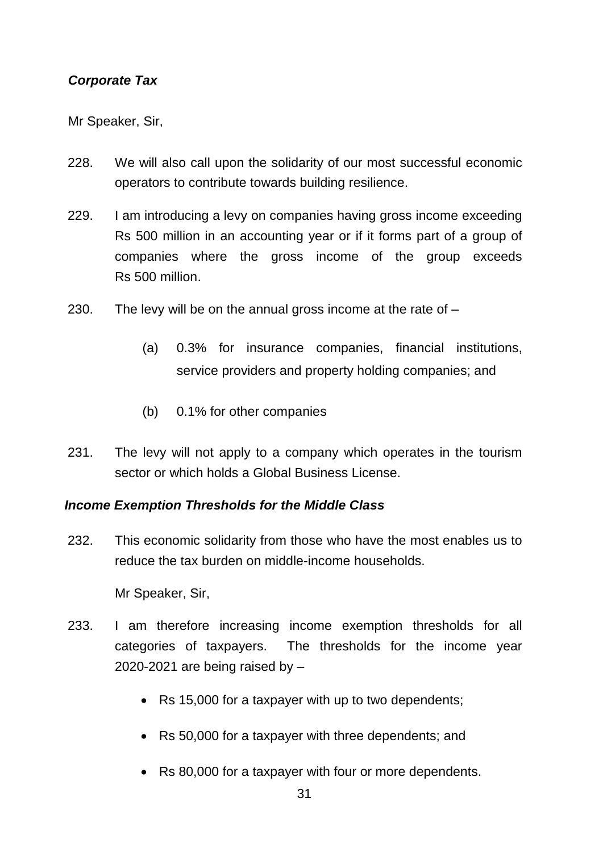# *Corporate Tax*

Mr Speaker, Sir,

- 228. We will also call upon the solidarity of our most successful economic operators to contribute towards building resilience.
- 229. I am introducing a levy on companies having gross income exceeding Rs 500 million in an accounting year or if it forms part of a group of companies where the gross income of the group exceeds Rs 500 million.
- 230. The levy will be on the annual gross income at the rate of
	- (a) 0.3% for insurance companies, financial institutions, service providers and property holding companies; and
	- (b) 0.1% for other companies
- 231. The levy will not apply to a company which operates in the tourism sector or which holds a Global Business License.

#### *Income Exemption Thresholds for the Middle Class*

232. This economic solidarity from those who have the most enables us to reduce the tax burden on middle-income households.

- 233. I am therefore increasing income exemption thresholds for all categories of taxpayers. The thresholds for the income year 2020-2021 are being raised by  $-$ 
	- Rs 15,000 for a taxpayer with up to two dependents;
	- Rs 50,000 for a taxpayer with three dependents; and
	- Rs 80,000 for a taxpayer with four or more dependents.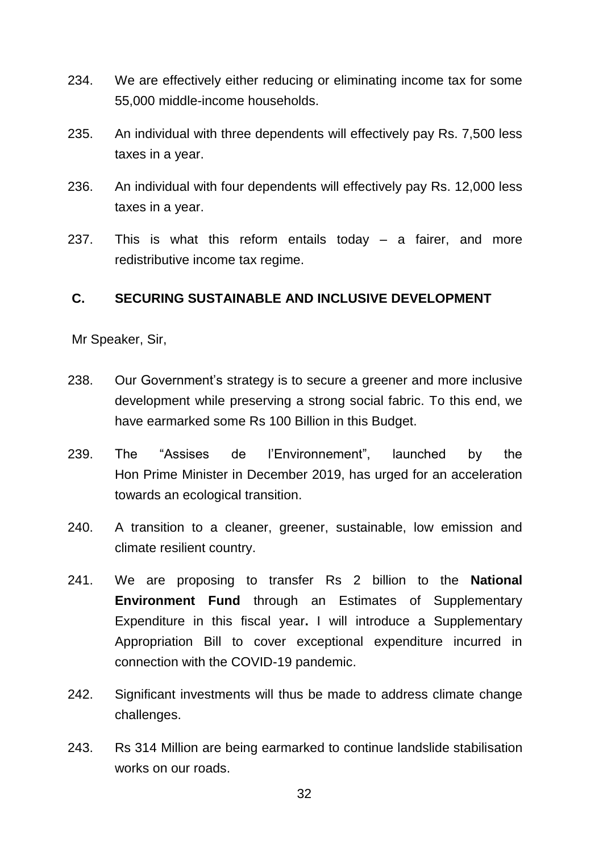- 234. We are effectively either reducing or eliminating income tax for some 55,000 middle-income households.
- 235. An individual with three dependents will effectively pay Rs. 7,500 less taxes in a year.
- 236. An individual with four dependents will effectively pay Rs. 12,000 less taxes in a year.
- 237. This is what this reform entails today a fairer, and more redistributive income tax regime.

### **C. SECURING SUSTAINABLE AND INCLUSIVE DEVELOPMENT**

- 238. Our Government's strategy is to secure a greener and more inclusive development while preserving a strong social fabric. To this end, we have earmarked some Rs 100 Billion in this Budget.
- 239. The "Assises de l'Environnement", launched by the Hon Prime Minister in December 2019, has urged for an acceleration towards an ecological transition.
- 240. A transition to a cleaner, greener, sustainable, low emission and climate resilient country.
- 241. We are proposing to transfer Rs 2 billion to the **National Environment Fund** through an Estimates of Supplementary Expenditure in this fiscal year**.** I will introduce a Supplementary Appropriation Bill to cover exceptional expenditure incurred in connection with the COVID-19 pandemic.
- 242. Significant investments will thus be made to address climate change challenges.
- 243. Rs 314 Million are being earmarked to continue landslide stabilisation works on our roads.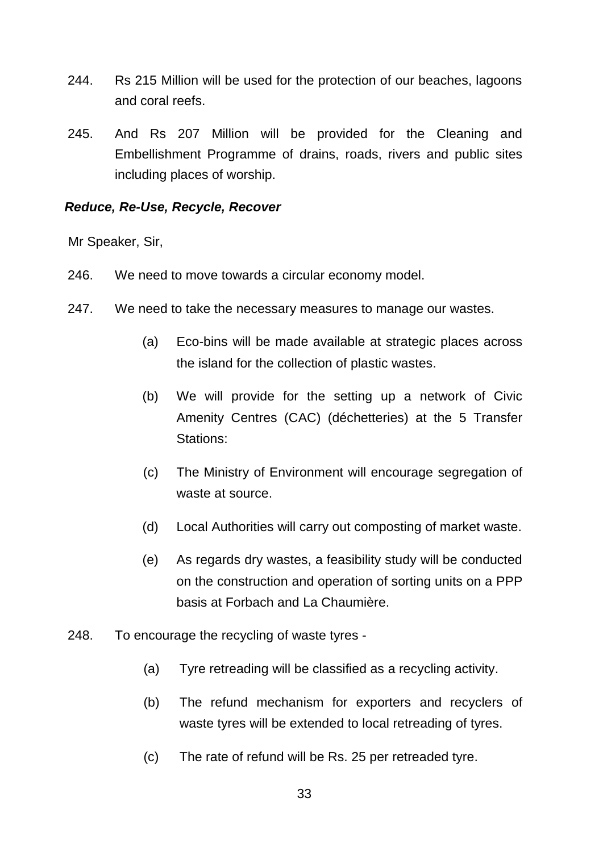- 244. Rs 215 Million will be used for the protection of our beaches, lagoons and coral reefs.
- 245. And Rs 207 Million will be provided for the Cleaning and Embellishment Programme of drains, roads, rivers and public sites including places of worship.

### *Reduce, Re-Use, Recycle, Recover*

- 246. We need to move towards a circular economy model.
- 247. We need to take the necessary measures to manage our wastes.
	- (a) Eco-bins will be made available at strategic places across the island for the collection of plastic wastes.
	- (b) We will provide for the setting up a network of Civic Amenity Centres (CAC) (déchetteries) at the 5 Transfer Stations:
	- (c) The Ministry of Environment will encourage segregation of waste at source.
	- (d) Local Authorities will carry out composting of market waste.
	- (e) As regards dry wastes, a feasibility study will be conducted on the construction and operation of sorting units on a PPP basis at Forbach and La Chaumière.
- 248. To encourage the recycling of waste tyres
	- (a) Tyre retreading will be classified as a recycling activity.
	- (b) The refund mechanism for exporters and recyclers of waste tyres will be extended to local retreading of tyres.
	- (c) The rate of refund will be Rs. 25 per retreaded tyre.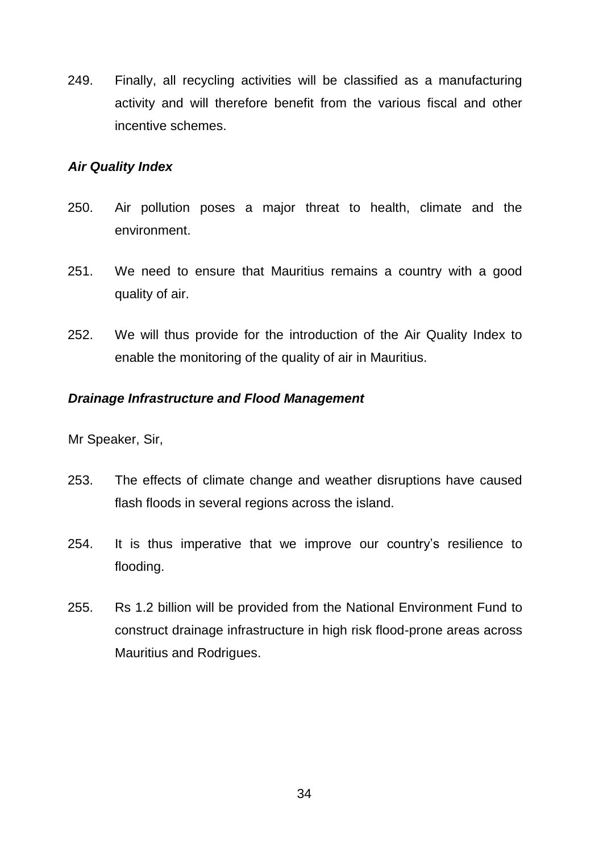249. Finally, all recycling activities will be classified as a manufacturing activity and will therefore benefit from the various fiscal and other incentive schemes.

#### *Air Quality Index*

- 250. Air pollution poses a major threat to health, climate and the environment.
- 251. We need to ensure that Mauritius remains a country with a good quality of air.
- 252. We will thus provide for the introduction of the Air Quality Index to enable the monitoring of the quality of air in Mauritius.

### *Drainage Infrastructure and Flood Management*

- 253. The effects of climate change and weather disruptions have caused flash floods in several regions across the island.
- 254. It is thus imperative that we improve our country's resilience to flooding.
- 255. Rs 1.2 billion will be provided from the National Environment Fund to construct drainage infrastructure in high risk flood-prone areas across Mauritius and Rodrigues.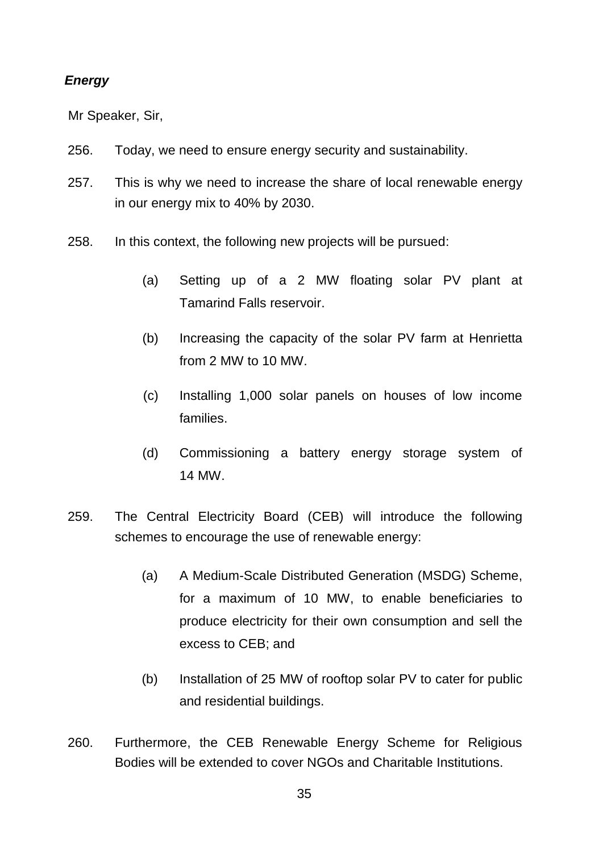### *Energy*

- 256. Today, we need to ensure energy security and sustainability.
- 257. This is why we need to increase the share of local renewable energy in our energy mix to 40% by 2030.
- 258. In this context, the following new projects will be pursued:
	- (a) Setting up of a 2 MW floating solar PV plant at Tamarind Falls reservoir.
	- (b) Increasing the capacity of the solar PV farm at Henrietta from 2 MW to 10 MW.
	- (c) Installing 1,000 solar panels on houses of low income families.
	- (d) Commissioning a battery energy storage system of 14 MW.
- 259. The Central Electricity Board (CEB) will introduce the following schemes to encourage the use of renewable energy:
	- (a) A Medium-Scale Distributed Generation (MSDG) Scheme, for a maximum of 10 MW, to enable beneficiaries to produce electricity for their own consumption and sell the excess to CEB; and
	- (b) Installation of 25 MW of rooftop solar PV to cater for public and residential buildings.
- 260. Furthermore, the CEB Renewable Energy Scheme for Religious Bodies will be extended to cover NGOs and Charitable Institutions.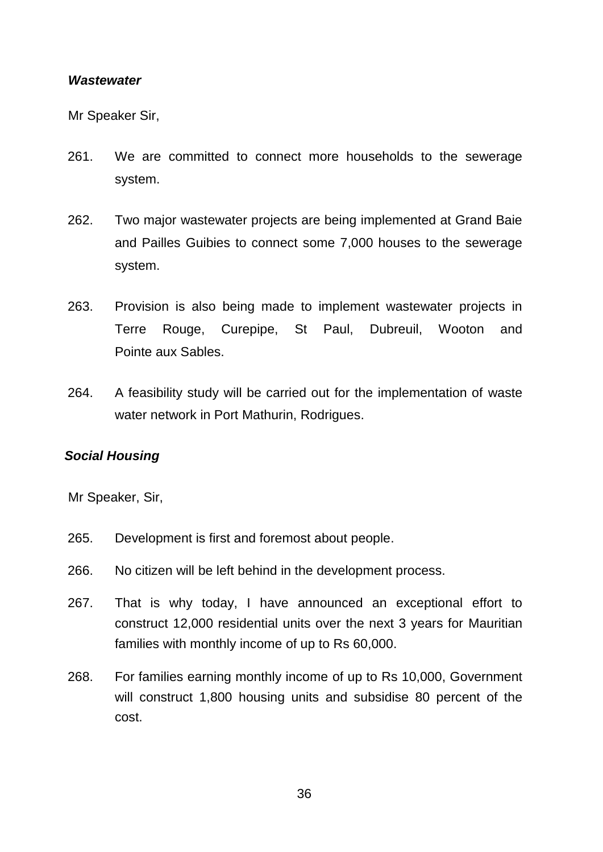#### *Wastewater*

Mr Speaker Sir,

- 261. We are committed to connect more households to the sewerage system.
- 262. Two major wastewater projects are being implemented at Grand Baie and Pailles Guibies to connect some 7,000 houses to the sewerage system.
- 263. Provision is also being made to implement wastewater projects in Terre Rouge, Curepipe, St Paul, Dubreuil, Wooton and Pointe aux Sables.
- 264. A feasibility study will be carried out for the implementation of waste water network in Port Mathurin, Rodrigues.

#### *Social Housing*

- 265. Development is first and foremost about people.
- 266. No citizen will be left behind in the development process.
- 267. That is why today, I have announced an exceptional effort to construct 12,000 residential units over the next 3 years for Mauritian families with monthly income of up to Rs 60,000.
- 268. For families earning monthly income of up to Rs 10,000, Government will construct 1,800 housing units and subsidise 80 percent of the cost.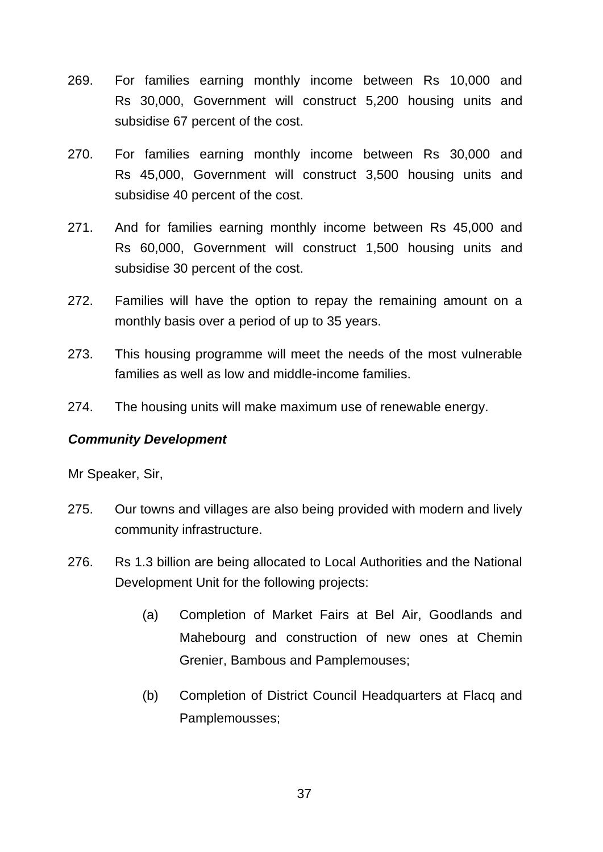- 269. For families earning monthly income between Rs 10,000 and Rs 30,000, Government will construct 5,200 housing units and subsidise 67 percent of the cost.
- 270. For families earning monthly income between Rs 30,000 and Rs 45,000, Government will construct 3,500 housing units and subsidise 40 percent of the cost.
- 271. And for families earning monthly income between Rs 45,000 and Rs 60,000, Government will construct 1,500 housing units and subsidise 30 percent of the cost.
- 272. Families will have the option to repay the remaining amount on a monthly basis over a period of up to 35 years.
- 273. This housing programme will meet the needs of the most vulnerable families as well as low and middle-income families.
- 274. The housing units will make maximum use of renewable energy.

# *Community Development*

- 275. Our towns and villages are also being provided with modern and lively community infrastructure.
- 276. Rs 1.3 billion are being allocated to Local Authorities and the National Development Unit for the following projects:
	- (a) Completion of Market Fairs at Bel Air, Goodlands and Mahebourg and construction of new ones at Chemin Grenier, Bambous and Pamplemouses;
	- (b) Completion of District Council Headquarters at Flacq and Pamplemousses;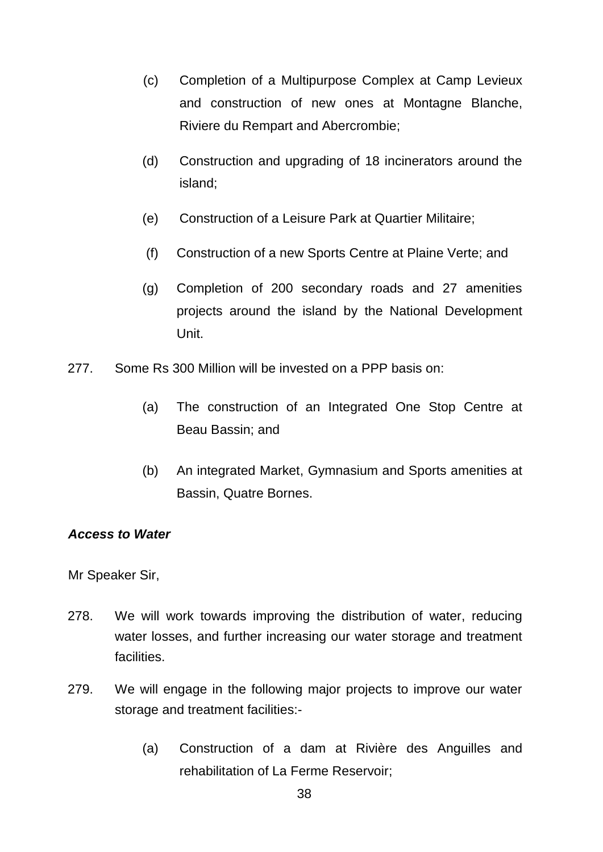- (c) Completion of a Multipurpose Complex at Camp Levieux and construction of new ones at Montagne Blanche, Riviere du Rempart and Abercrombie;
- (d) Construction and upgrading of 18 incinerators around the island;
- (e) Construction of a Leisure Park at Quartier Militaire;
- (f) Construction of a new Sports Centre at Plaine Verte; and
- (g) Completion of 200 secondary roads and 27 amenities projects around the island by the National Development Unit.
- 277. Some Rs 300 Million will be invested on a PPP basis on:
	- (a) The construction of an Integrated One Stop Centre at Beau Bassin; and
	- (b) An integrated Market, Gymnasium and Sports amenities at Bassin, Quatre Bornes.

#### *Access to Water*

- 278. We will work towards improving the distribution of water, reducing water losses, and further increasing our water storage and treatment facilities.
- 279. We will engage in the following major projects to improve our water storage and treatment facilities:-
	- (a) Construction of a dam at Rivière des Anguilles and rehabilitation of La Ferme Reservoir;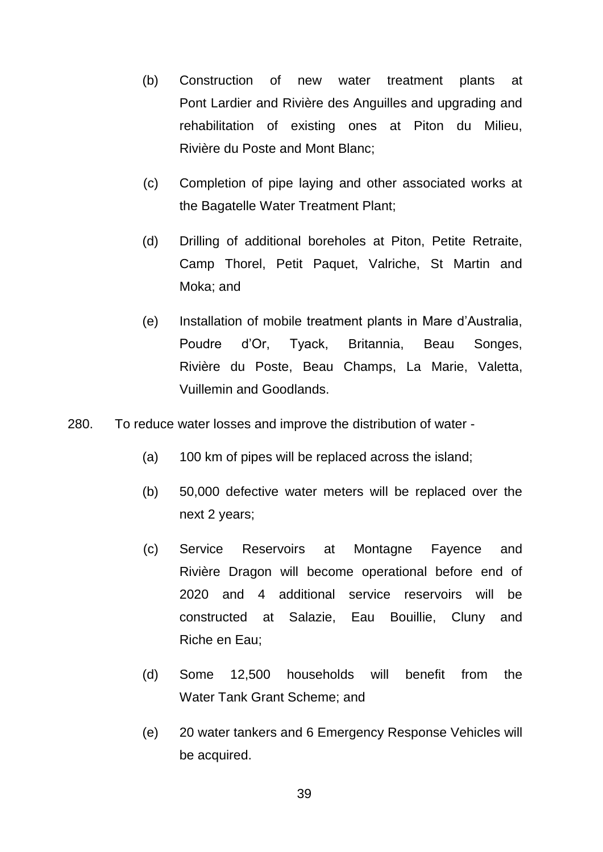- (b) Construction of new water treatment plants at Pont Lardier and Rivière des Anguilles and upgrading and rehabilitation of existing ones at Piton du Milieu, Rivière du Poste and Mont Blanc;
- (c) Completion of pipe laying and other associated works at the Bagatelle Water Treatment Plant;
- (d) Drilling of additional boreholes at Piton, Petite Retraite, Camp Thorel, Petit Paquet, Valriche, St Martin and Moka; and
- (e) Installation of mobile treatment plants in Mare d'Australia, Poudre d'Or, Tyack, Britannia, Beau Songes, Rivière du Poste, Beau Champs, La Marie, Valetta, Vuillemin and Goodlands.
- 280. To reduce water losses and improve the distribution of water
	- (a) 100 km of pipes will be replaced across the island;
	- (b) 50,000 defective water meters will be replaced over the next 2 years;
	- (c) Service Reservoirs at Montagne Fayence and Rivière Dragon will become operational before end of 2020 and 4 additional service reservoirs will be constructed at Salazie, Eau Bouillie, Cluny and Riche en Eau;
	- (d) Some 12,500 households will benefit from the Water Tank Grant Scheme; and
	- (e) 20 water tankers and 6 Emergency Response Vehicles will be acquired.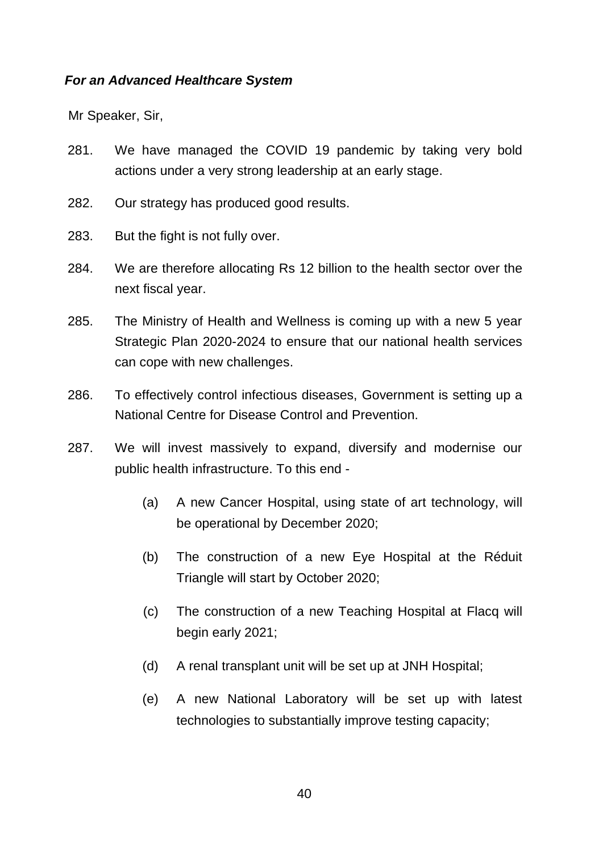### *For an Advanced Healthcare System*

- 281. We have managed the COVID 19 pandemic by taking very bold actions under a very strong leadership at an early stage.
- 282. Our strategy has produced good results.
- 283. But the fight is not fully over.
- 284. We are therefore allocating Rs 12 billion to the health sector over the next fiscal year.
- 285. The Ministry of Health and Wellness is coming up with a new 5 year Strategic Plan 2020-2024 to ensure that our national health services can cope with new challenges.
- 286. To effectively control infectious diseases, Government is setting up a National Centre for Disease Control and Prevention.
- 287. We will invest massively to expand, diversify and modernise our public health infrastructure. To this end -
	- (a) A new Cancer Hospital, using state of art technology, will be operational by December 2020;
	- (b) The construction of a new Eye Hospital at the Réduit Triangle will start by October 2020;
	- (c) The construction of a new Teaching Hospital at Flacq will begin early 2021;
	- (d) A renal transplant unit will be set up at JNH Hospital;
	- (e) A new National Laboratory will be set up with latest technologies to substantially improve testing capacity;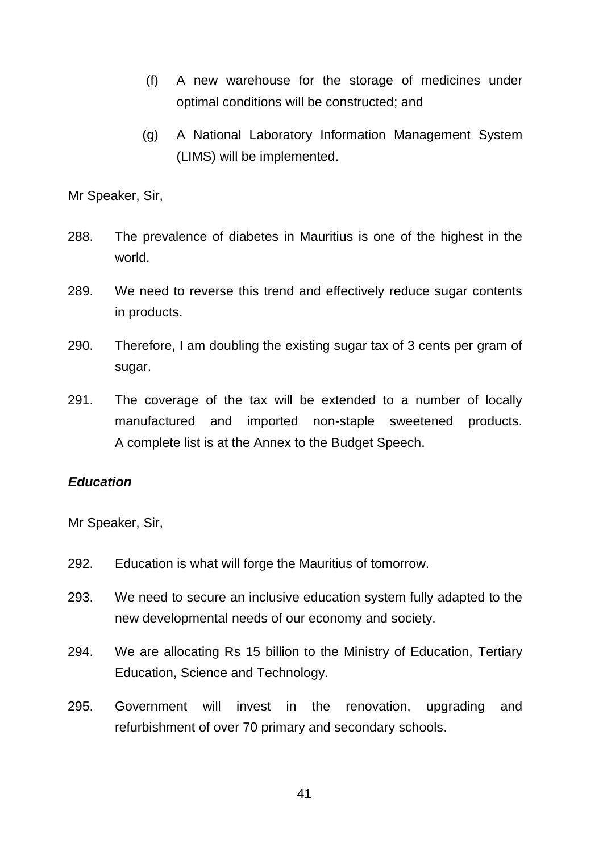- (f) A new warehouse for the storage of medicines under optimal conditions will be constructed; and
- (g) A National Laboratory Information Management System (LIMS) will be implemented.

- 288. The prevalence of diabetes in Mauritius is one of the highest in the world.
- 289. We need to reverse this trend and effectively reduce sugar contents in products.
- 290. Therefore, I am doubling the existing sugar tax of 3 cents per gram of sugar.
- 291. The coverage of the tax will be extended to a number of locally manufactured and imported non-staple sweetened products. A complete list is at the Annex to the Budget Speech.

#### *Education*

- 292. Education is what will forge the Mauritius of tomorrow.
- 293. We need to secure an inclusive education system fully adapted to the new developmental needs of our economy and society.
- 294. We are allocating Rs 15 billion to the Ministry of Education, Tertiary Education, Science and Technology.
- 295. Government will invest in the renovation, upgrading and refurbishment of over 70 primary and secondary schools.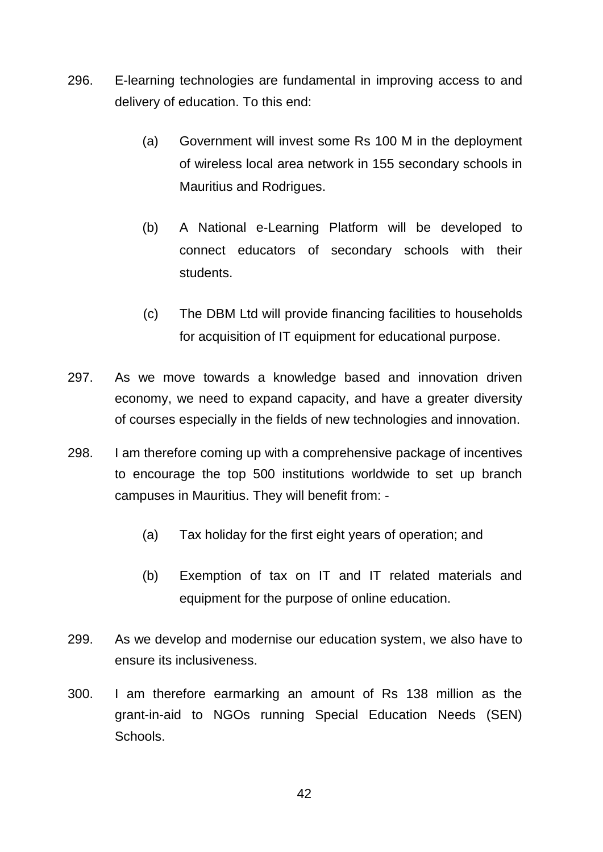- 296. E-learning technologies are fundamental in improving access to and delivery of education. To this end:
	- (a) Government will invest some Rs 100 M in the deployment of wireless local area network in 155 secondary schools in Mauritius and Rodrigues.
	- (b) A National e-Learning Platform will be developed to connect educators of secondary schools with their students.
	- (c) The DBM Ltd will provide financing facilities to households for acquisition of IT equipment for educational purpose.
- 297. As we move towards a knowledge based and innovation driven economy, we need to expand capacity, and have a greater diversity of courses especially in the fields of new technologies and innovation.
- 298. I am therefore coming up with a comprehensive package of incentives to encourage the top 500 institutions worldwide to set up branch campuses in Mauritius. They will benefit from: -
	- (a) Tax holiday for the first eight years of operation; and
	- (b) Exemption of tax on IT and IT related materials and equipment for the purpose of online education.
- 299. As we develop and modernise our education system, we also have to ensure its inclusiveness.
- 300. I am therefore earmarking an amount of Rs 138 million as the grant-in-aid to NGOs running Special Education Needs (SEN) **Schools**

42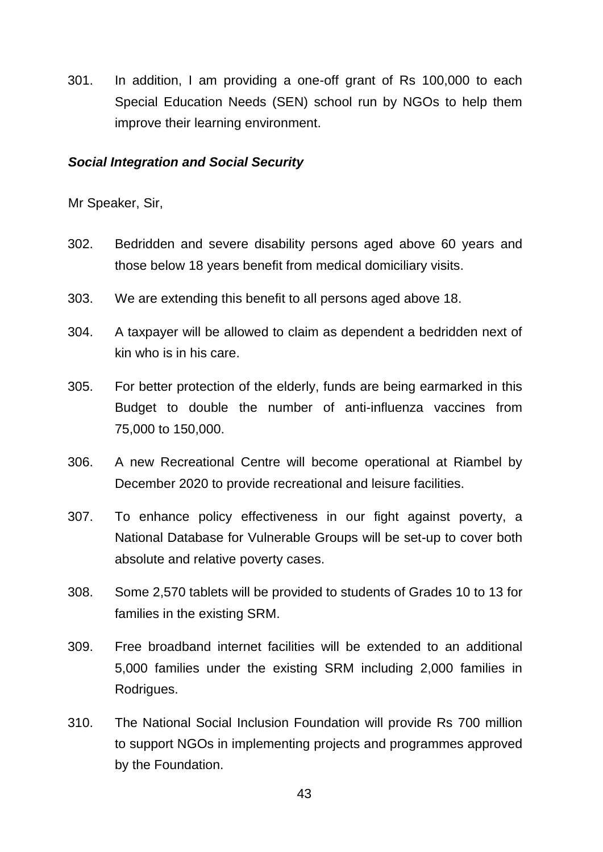301. In addition, I am providing a one-off grant of Rs 100,000 to each Special Education Needs (SEN) school run by NGOs to help them improve their learning environment.

#### *Social Integration and Social Security*

- 302. Bedridden and severe disability persons aged above 60 years and those below 18 years benefit from medical domiciliary visits.
- 303. We are extending this benefit to all persons aged above 18.
- 304. A taxpayer will be allowed to claim as dependent a bedridden next of kin who is in his care.
- 305. For better protection of the elderly, funds are being earmarked in this Budget to double the number of anti-influenza vaccines from 75,000 to 150,000.
- 306. A new Recreational Centre will become operational at Riambel by December 2020 to provide recreational and leisure facilities.
- 307. To enhance policy effectiveness in our fight against poverty, a National Database for Vulnerable Groups will be set-up to cover both absolute and relative poverty cases.
- 308. Some 2,570 tablets will be provided to students of Grades 10 to 13 for families in the existing SRM.
- 309. Free broadband internet facilities will be extended to an additional 5,000 families under the existing SRM including 2,000 families in Rodrigues.
- 310. The National Social Inclusion Foundation will provide Rs 700 million to support NGOs in implementing projects and programmes approved by the Foundation.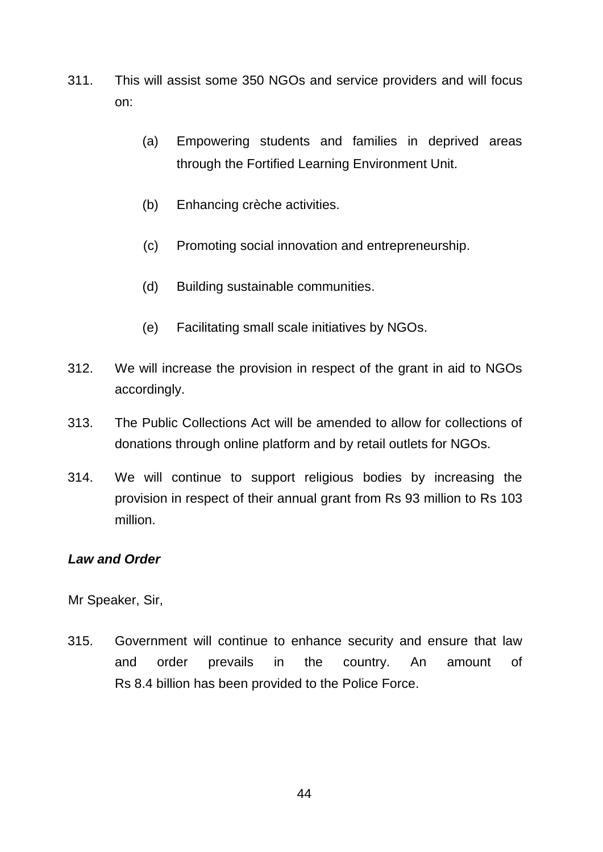- 311. This will assist some 350 NGOs and service providers and will focus on:
	- (a) Empowering students and families in deprived areas through the Fortified Learning Environment Unit.
	- (b) Enhancing crèche activities.
	- (c) Promoting social innovation and entrepreneurship.
	- (d) Building sustainable communities.
	- (e) Facilitating small scale initiatives by NGOs.
- 312. We will increase the provision in respect of the grant in aid to NGOs accordingly.
- 313. The Public Collections Act will be amended to allow for collections of donations through online platform and by retail outlets for NGOs.
- 314. We will continue to support religious bodies by increasing the provision in respect of their annual grant from Rs 93 million to Rs 103 million.

#### *Law and Order*

Mr Speaker, Sir,

315. Government will continue to enhance security and ensure that law and order prevails in the country. An amount of Rs 8.4 billion has been provided to the Police Force.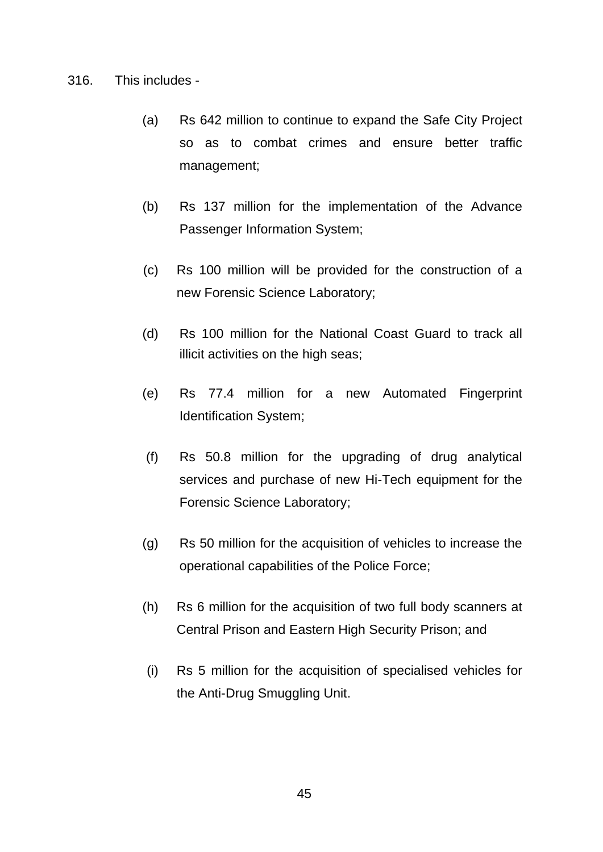- 316. This includes
	- (a) Rs 642 million to continue to expand the Safe City Project so as to combat crimes and ensure better traffic management;
	- (b) Rs 137 million for the implementation of the Advance Passenger Information System;
	- (c) Rs 100 million will be provided for the construction of a new Forensic Science Laboratory;
	- (d) Rs 100 million for the National Coast Guard to track all illicit activities on the high seas;
	- (e) Rs 77.4 million for a new Automated Fingerprint Identification System;
	- (f) Rs 50.8 million for the upgrading of drug analytical services and purchase of new Hi-Tech equipment for the Forensic Science Laboratory;
	- (g) Rs 50 million for the acquisition of vehicles to increase the operational capabilities of the Police Force;
	- (h) Rs 6 million for the acquisition of two full body scanners at Central Prison and Eastern High Security Prison; and
	- (i) Rs 5 million for the acquisition of specialised vehicles for the Anti-Drug Smuggling Unit.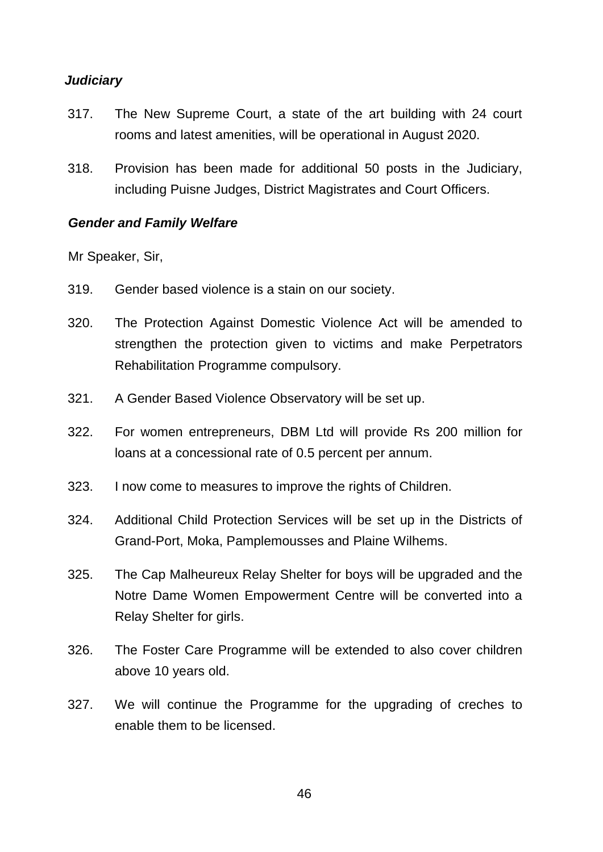# *Judiciary*

- 317. The New Supreme Court, a state of the art building with 24 court rooms and latest amenities, will be operational in August 2020.
- 318. Provision has been made for additional 50 posts in the Judiciary, including Puisne Judges, District Magistrates and Court Officers.

#### *Gender and Family Welfare*

- 319. Gender based violence is a stain on our society.
- 320. The Protection Against Domestic Violence Act will be amended to strengthen the protection given to victims and make Perpetrators Rehabilitation Programme compulsory.
- 321. A Gender Based Violence Observatory will be set up.
- 322. For women entrepreneurs, DBM Ltd will provide Rs 200 million for loans at a concessional rate of 0.5 percent per annum.
- 323. I now come to measures to improve the rights of Children.
- 324. Additional Child Protection Services will be set up in the Districts of Grand-Port, Moka, Pamplemousses and Plaine Wilhems.
- 325. The Cap Malheureux Relay Shelter for boys will be upgraded and the Notre Dame Women Empowerment Centre will be converted into a Relay Shelter for girls.
- 326. The Foster Care Programme will be extended to also cover children above 10 years old.
- 327. We will continue the Programme for the upgrading of creches to enable them to be licensed.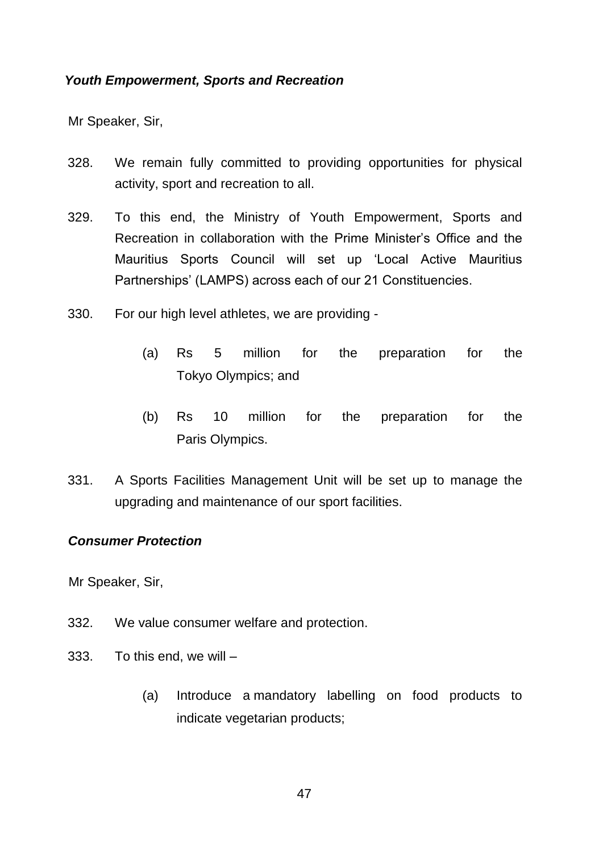### *Youth Empowerment, Sports and Recreation*

Mr Speaker, Sir,

- 328. We remain fully committed to providing opportunities for physical activity, sport and recreation to all.
- 329. To this end, the Ministry of Youth Empowerment, Sports and Recreation in collaboration with the Prime Minister's Office and the Mauritius Sports Council will set up 'Local Active Mauritius Partnerships' (LAMPS) across each of our 21 Constituencies.
- 330. For our high level athletes, we are providing
	- (a) Rs 5 million for the preparation for the Tokyo Olympics; and
	- (b) Rs 10 million for the preparation for the Paris Olympics.
- 331. A Sports Facilities Management Unit will be set up to manage the upgrading and maintenance of our sport facilities.

#### *Consumer Protection*

- 332. We value consumer welfare and protection.
- 333. To this end, we will
	- (a) Introduce a mandatory labelling on food products to indicate vegetarian products;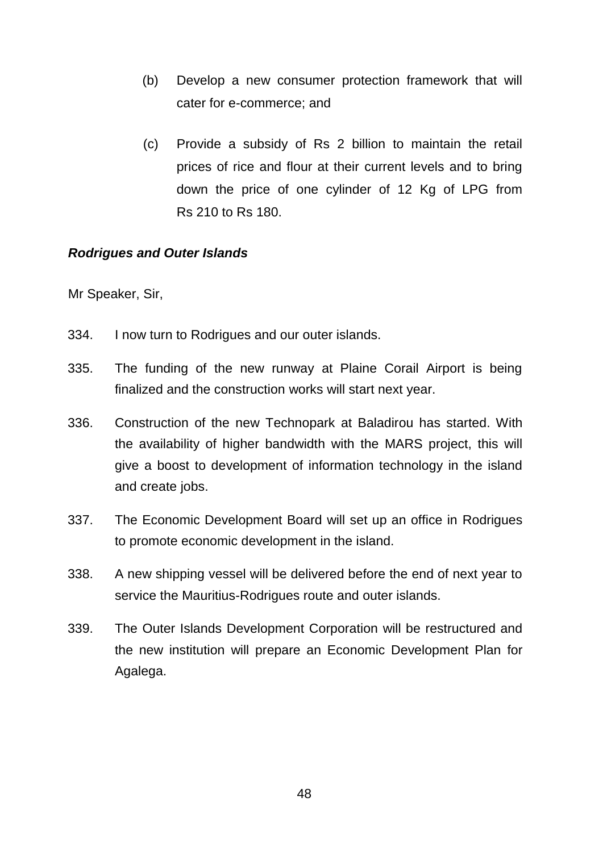- (b) Develop a new consumer protection framework that will cater for e-commerce; and
- (c) Provide a subsidy of Rs 2 billion to maintain the retail prices of rice and flour at their current levels and to bring down the price of one cylinder of 12 Kg of LPG from Rs 210 to Rs 180.

# *Rodrigues and Outer Islands*

- 334. I now turn to Rodrigues and our outer islands.
- 335. The funding of the new runway at Plaine Corail Airport is being finalized and the construction works will start next year.
- 336. Construction of the new Technopark at Baladirou has started. With the availability of higher bandwidth with the MARS project, this will give a boost to development of information technology in the island and create jobs.
- 337. The Economic Development Board will set up an office in Rodrigues to promote economic development in the island.
- 338. A new shipping vessel will be delivered before the end of next year to service the Mauritius-Rodrigues route and outer islands.
- 339. The Outer Islands Development Corporation will be restructured and the new institution will prepare an Economic Development Plan for Agalega.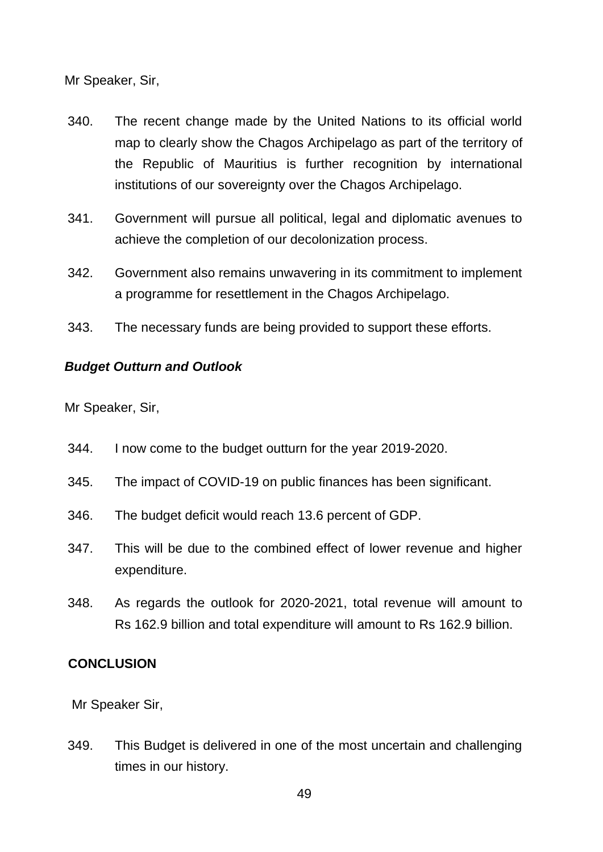- 340. The recent change made by the United Nations to its official world map to clearly show the Chagos Archipelago as part of the territory of the Republic of Mauritius is further recognition by international institutions of our sovereignty over the Chagos Archipelago.
- 341. Government will pursue all political, legal and diplomatic avenues to achieve the completion of our decolonization process.
- 342. Government also remains unwavering in its commitment to implement a programme for resettlement in the Chagos Archipelago.
- 343. The necessary funds are being provided to support these efforts.

# *Budget Outturn and Outlook*

Mr Speaker, Sir,

- 344. I now come to the budget outturn for the year 2019-2020.
- 345. The impact of COVID-19 on public finances has been significant.
- 346. The budget deficit would reach 13.6 percent of GDP.
- 347. This will be due to the combined effect of lower revenue and higher expenditure.
- 348. As regards the outlook for 2020-2021, total revenue will amount to Rs 162.9 billion and total expenditure will amount to Rs 162.9 billion.

# **CONCLUSION**

Mr Speaker Sir,

349. This Budget is delivered in one of the most uncertain and challenging times in our history.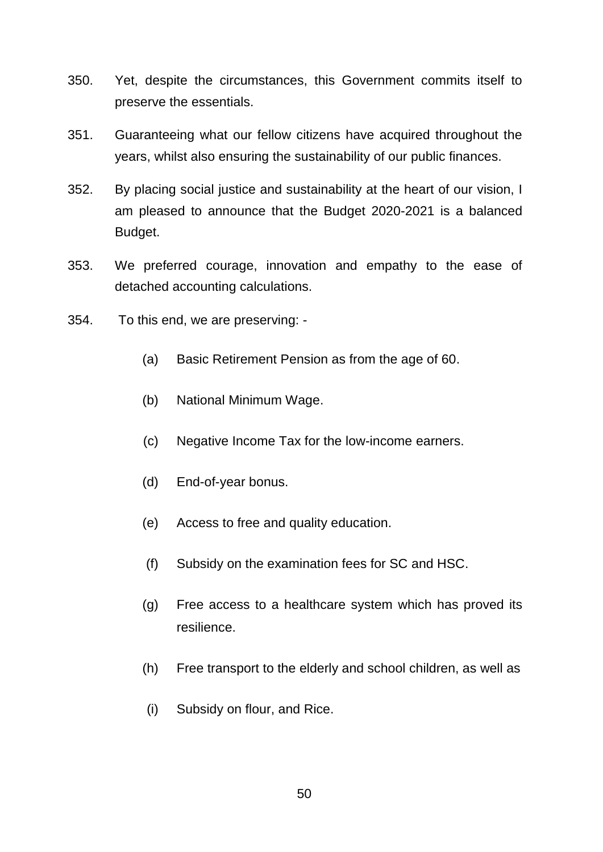- 350. Yet, despite the circumstances, this Government commits itself to preserve the essentials.
- 351. Guaranteeing what our fellow citizens have acquired throughout the years, whilst also ensuring the sustainability of our public finances.
- 352. By placing social justice and sustainability at the heart of our vision, I am pleased to announce that the Budget 2020-2021 is a balanced Budget.
- 353. We preferred courage, innovation and empathy to the ease of detached accounting calculations.
- 354. To this end, we are preserving:
	- (a) Basic Retirement Pension as from the age of 60.
	- (b) National Minimum Wage.
	- (c) Negative Income Tax for the low-income earners.
	- (d) End-of-year bonus.
	- (e) Access to free and quality education.
	- (f) Subsidy on the examination fees for SC and HSC.
	- (g) Free access to a healthcare system which has proved its resilience.
	- (h) Free transport to the elderly and school children, as well as
	- (i) Subsidy on flour, and Rice.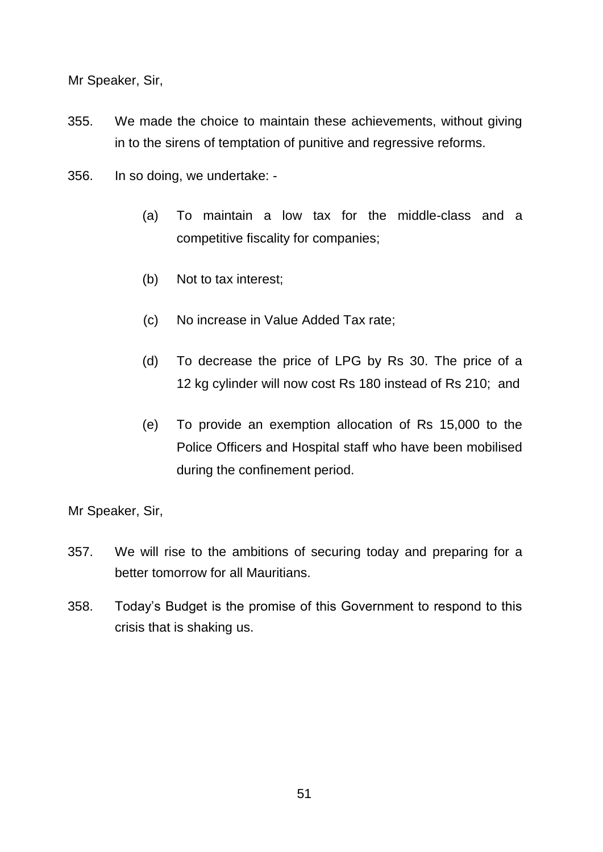- 355. We made the choice to maintain these achievements, without giving in to the sirens of temptation of punitive and regressive reforms.
- 356. In so doing, we undertake:
	- (a) To maintain a low tax for the middle-class and a competitive fiscality for companies;
	- (b) Not to tax interest;
	- (c) No increase in Value Added Tax rate;
	- (d) To decrease the price of LPG by Rs 30. The price of a 12 kg cylinder will now cost Rs 180 instead of Rs 210; and
	- (e) To provide an exemption allocation of Rs 15,000 to the Police Officers and Hospital staff who have been mobilised during the confinement period.

- 357. We will rise to the ambitions of securing today and preparing for a better tomorrow for all Mauritians.
- 358. Today's Budget is the promise of this Government to respond to this crisis that is shaking us.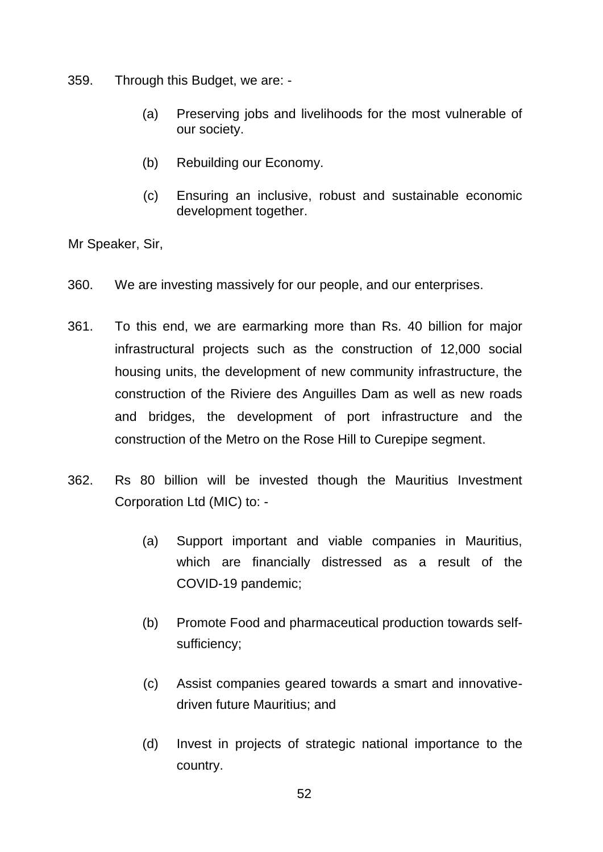359. Through this Budget, we are: -

- (a) Preserving jobs and livelihoods for the most vulnerable of our society.
- (b) Rebuilding our Economy.
- (c) Ensuring an inclusive, robust and sustainable economic development together.

- 360. We are investing massively for our people, and our enterprises.
- 361. To this end, we are earmarking more than Rs. 40 billion for major infrastructural projects such as the construction of 12,000 social housing units, the development of new community infrastructure, the construction of the Riviere des Anguilles Dam as well as new roads and bridges, the development of port infrastructure and the construction of the Metro on the Rose Hill to Curepipe segment.
- 362. Rs 80 billion will be invested though the Mauritius Investment Corporation Ltd (MIC) to: -
	- (a) Support important and viable companies in Mauritius, which are financially distressed as a result of the COVID-19 pandemic;
	- (b) Promote Food and pharmaceutical production towards selfsufficiency;
	- (c) Assist companies geared towards a smart and innovativedriven future Mauritius; and
	- (d) Invest in projects of strategic national importance to the country.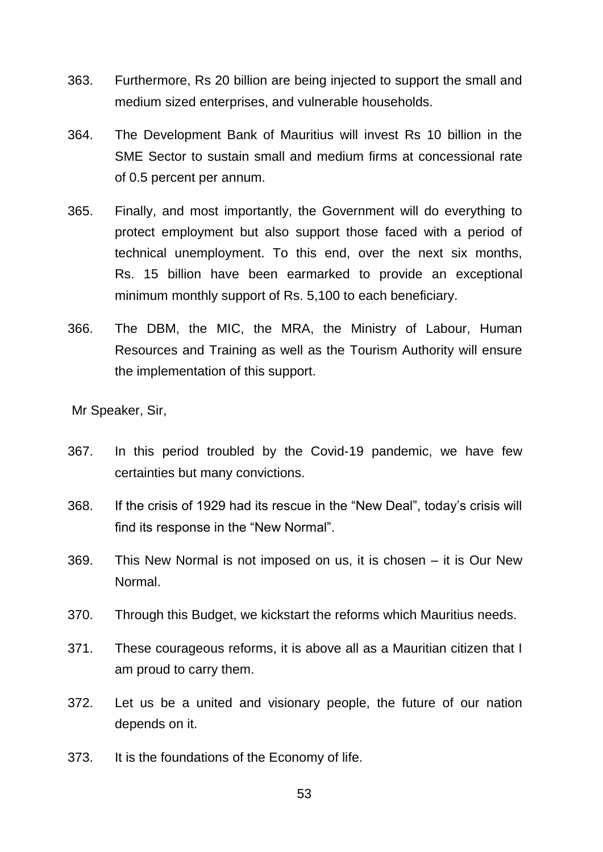- 363. Furthermore, Rs 20 billion are being injected to support the small and medium sized enterprises, and vulnerable households.
- 364. The Development Bank of Mauritius will invest Rs 10 billion in the SME Sector to sustain small and medium firms at concessional rate of 0.5 percent per annum.
- 365. Finally, and most importantly, the Government will do everything to protect employment but also support those faced with a period of technical unemployment. To this end, over the next six months, Rs. 15 billion have been earmarked to provide an exceptional minimum monthly support of Rs. 5,100 to each beneficiary.
- 366. The DBM, the MIC, the MRA, the Ministry of Labour, Human Resources and Training as well as the Tourism Authority will ensure the implementation of this support.

- 367. In this period troubled by the Covid-19 pandemic, we have few certainties but many convictions.
- 368. If the crisis of 1929 had its rescue in the "New Deal", today's crisis will find its response in the "New Normal".
- 369. This New Normal is not imposed on us, it is chosen it is Our New Normal.
- 370. Through this Budget, we kickstart the reforms which Mauritius needs.
- 371. These courageous reforms, it is above all as a Mauritian citizen that I am proud to carry them.
- 372. Let us be a united and visionary people, the future of our nation depends on it.
- 373. It is the foundations of the Economy of life.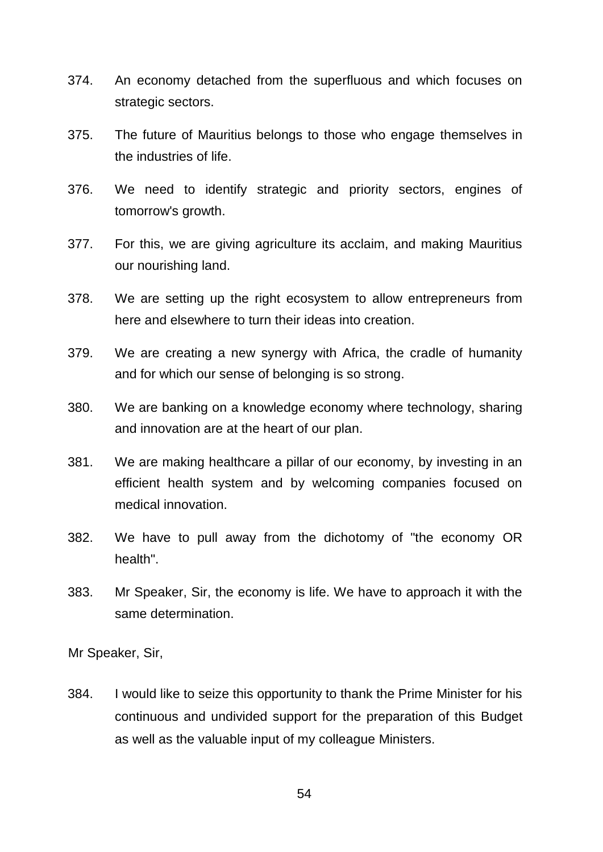- 374. An economy detached from the superfluous and which focuses on strategic sectors.
- 375. The future of Mauritius belongs to those who engage themselves in the industries of life.
- 376. We need to identify strategic and priority sectors, engines of tomorrow's growth.
- 377. For this, we are giving agriculture its acclaim, and making Mauritius our nourishing land.
- 378. We are setting up the right ecosystem to allow entrepreneurs from here and elsewhere to turn their ideas into creation.
- 379. We are creating a new synergy with Africa, the cradle of humanity and for which our sense of belonging is so strong.
- 380. We are banking on a knowledge economy where technology, sharing and innovation are at the heart of our plan.
- 381. We are making healthcare a pillar of our economy, by investing in an efficient health system and by welcoming companies focused on medical innovation.
- 382. We have to pull away from the dichotomy of "the economy OR health".
- 383. Mr Speaker, Sir, the economy is life. We have to approach it with the same determination.

384. I would like to seize this opportunity to thank the Prime Minister for his continuous and undivided support for the preparation of this Budget as well as the valuable input of my colleague Ministers.